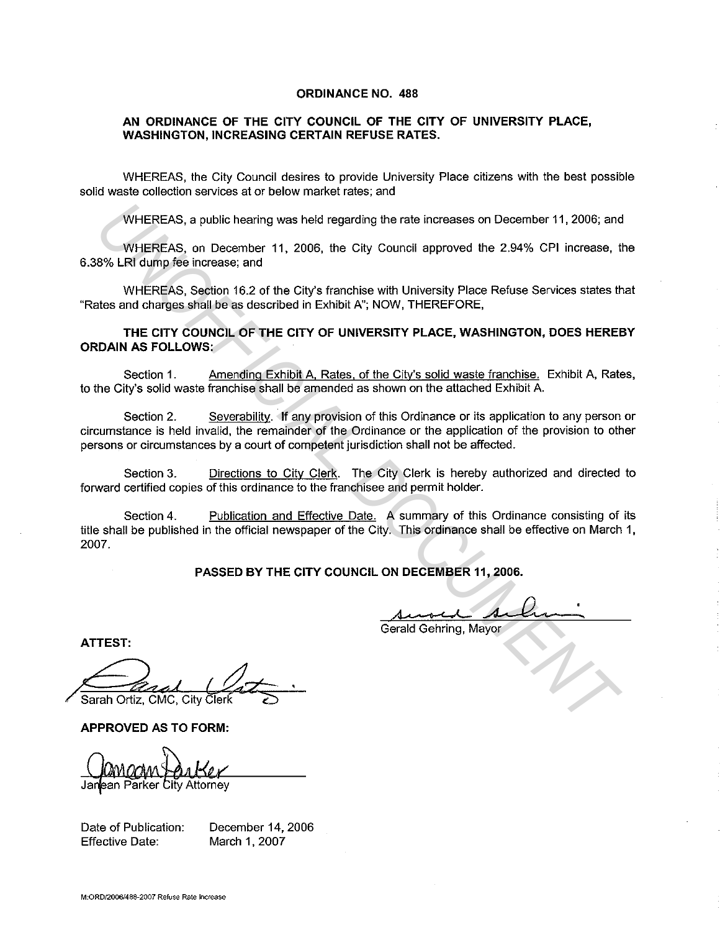## **ORDINANCE NO. 488**

## **AN ORDINANCE OF THE CITY COUNCIL OF THE CITY OF UNIVERSITY PLACE, WASHINGTON, INCREASING CERTAIN REFUSE RATES.**

WHEREAS, the City Council desires to provide University Place citizens with the best possible solid waste collection services at or below market rates; and

WHEREAS, a public hearing was held regarding the rate increases on December 11, 2006; and

WHEREAS, on December 11, 2006, the City Council approved the 2.94% CPI increase, the 6.38% LRI dump fee increase; and

WHEREAS, Section 16.2 of the City's franchise with University Place Refuse Services states that "Rates and charges shall be as described in Exhibit A"; NOW, THEREFORE,

**THE CITY COUNCIL OF THE CITY OF UNIVERSITY PLACE, WASHINGTON, DOES HEREBY ORDAIN AS FOLLOWS:** 

Section 1. Amending Exhibit A, Rates, of the City's solid waste franchise. Exhibit A, Rates, to the City's solid waste franchise shall be amended as shown on the attached Exhibit A.

Section 2. Severability. If any provision of this Ordinance or its application to any person or circumstance is held invalid, the remainder of the Ordinance or the application of the provision to other persons or circumstances by a court of competent jurisdiction shall not be affected.

Section 3. Directions to City Clerk. The City Clerk is hereby authorized and directed to forward certified copies of this ordinance to the franchisee and permit holder.

Section 4. Publication and Effective Date. A summary of this Ordinance consisting of its title shall be published in the official newspaper of the City. This ordinance shall be effective on March 1, 2007. WHEREAS, a public hearing was held regarding the rate increases on December 11, 2006; and<br>WHEREAS, on December 11, 2006, the City Council approved the 2.94% CPI increase, the<br>WHEREAS, segiton 16.2 of the City's firstnchise

**PASSED BY THE CITY COUNCIL ON DECEMBER 11, 2006.** 

Gerald Gehring, Mayor

**ATTEST:** 

Sarah Ortiz, CMC, City Clerk

**APPROVED AS TO FORM:** 

ean Parker City Attorney

Date of Publication: Effective Date:

December 14, 2006 March 1, 2007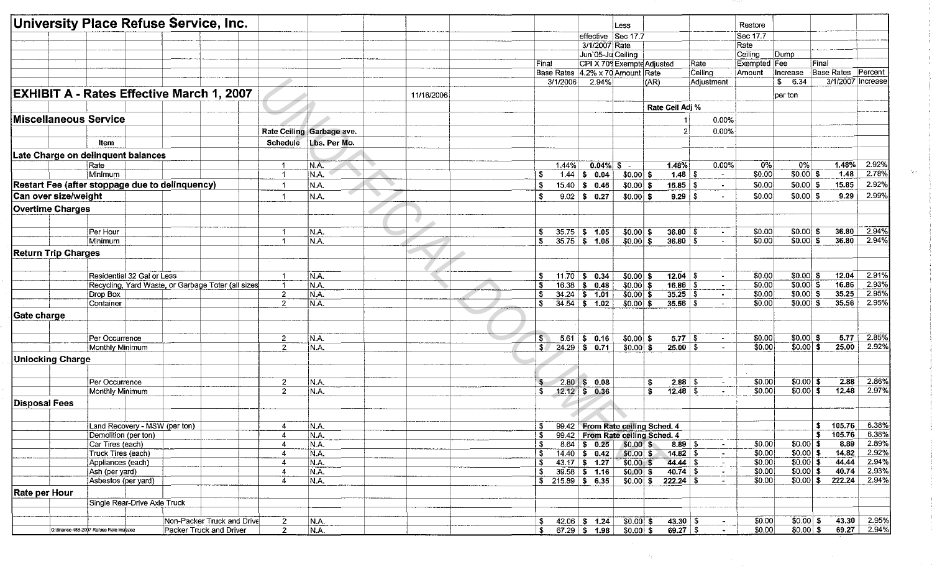|                            | University Place Refuse Service, Inc.                              |                                |                           |            |              |           |                                  | Less:        |                                  |                | Restore          |                          |                           |                     |
|----------------------------|--------------------------------------------------------------------|--------------------------------|---------------------------|------------|--------------|-----------|----------------------------------|--------------|----------------------------------|----------------|------------------|--------------------------|---------------------------|---------------------|
|                            |                                                                    |                                |                           |            |              |           | effective Sec 17.7               |              |                                  |                | Sec 17.7         |                          |                           |                     |
|                            |                                                                    |                                |                           |            |              |           | 3/1/2007 Rate                    |              |                                  |                | Rate             |                          |                           |                     |
|                            |                                                                    |                                |                           |            |              |           | Jun'05-Ju Ceiling                |              |                                  |                | Ceiling          | Dump                     |                           |                     |
|                            |                                                                    |                                |                           |            | Final        |           | CPI X 709 Exempte Adjusted       |              |                                  | Rate           | Exempted Fee     |                          | Final                     |                     |
|                            |                                                                    |                                |                           |            |              |           | Base Rates 4.2% x 70 Amount Rate |              |                                  | Celling        | Amount           | Increase                 | <b>Base Rates</b> Percent |                     |
|                            |                                                                    |                                |                           |            |              | 3/1/2006  | 2.94%                            |              | (AR)                             | Adjustment     |                  | \$ 6.34                  |                           | 3/1/2007   Increase |
|                            |                                                                    |                                |                           |            |              |           |                                  |              |                                  |                |                  |                          |                           |                     |
|                            | <b>EXHIBIT A - Rates Effective March 1, 2007</b>                   |                                |                           | 11/16/2006 |              |           |                                  |              |                                  |                |                  | per ton                  |                           |                     |
|                            |                                                                    |                                |                           |            |              |           |                                  |              | Rate Ceil Adj %                  |                |                  |                          |                           |                     |
|                            | Miscellaneous Service                                              |                                |                           |            |              |           |                                  |              |                                  | 0.00%          |                  |                          |                           |                     |
|                            |                                                                    |                                | Rate Ceiling Garbage ave. |            |              |           |                                  |              | 2                                | 0.00%          |                  |                          |                           |                     |
|                            | Item                                                               |                                | Schedule Lbs. Per Mo.     |            |              |           |                                  |              |                                  |                |                  |                          |                           |                     |
|                            | Late Charge on delinquent balances                                 |                                |                           |            |              |           |                                  |              |                                  |                |                  |                          |                           |                     |
|                            | Rate                                                               | $\overline{1}$                 | N.A.                      |            |              | 1.44%     | $0.04\%$ \$ -                    |              | 148%                             | 0.00%          | 0%               | 0%                       | 1.48%                     | 2.92%               |
|                            | Minimum                                                            | $\mathbf{1}$                   | N.A.                      |            | S.           | 1.44      | \$0.04                           | $$0.00]$ \$  | $\overline{1.48}$                | S<br>$\sim$    | 50.00            | $$0.00$ \$               | 1.48                      | 2.78%               |
|                            | Restart Fee (after stoppage due to delinquency)                    | -1                             | N.A.                      |            | - \$         | 15.40     | \$0.45                           | $$0.00$ \$   | 15.85                            | S<br>$\sim$    | \$0.00           | $$0.00 $ \$              | 15.85                     | 2.92%               |
| Can over size/weight       |                                                                    | -1                             | N.A.                      |            | - \$         |           | $9.02$ \$ 0.27                   | $$0.00 $ \$  | $9.29$   \$                      |                | \$0.00           | $$0.00 $ \$              | 9.29                      | 2.99%               |
| <b>Overtime Charges</b>    |                                                                    |                                |                           |            |              |           |                                  |              |                                  |                |                  |                          |                           |                     |
|                            |                                                                    |                                |                           |            |              |           |                                  |              |                                  |                |                  |                          |                           |                     |
|                            |                                                                    |                                |                           |            |              |           |                                  |              |                                  |                |                  |                          |                           |                     |
|                            | Per Hour                                                           | -1                             | N.A.                      |            | \$           |           | $35.75$ \$ 1.05                  | $$0.00$ \$   | $36.80$ \$                       | $\blacksquare$ | \$0.00           | $$0.00 $ \$              | 36.80                     | 2.94%               |
|                            | Minimum                                                            | -1                             | IN.A.                     |            | S.           |           | $35.75$ \$ 1.05                  | $$0.00$ \$   | 36.80 S                          | $\sim$         | \$0.00           | $$0.00$ \$               | 36.80                     | 2.94%               |
| <b>Return Trip Charges</b> |                                                                    |                                |                           |            |              |           |                                  |              |                                  |                |                  |                          |                           |                     |
|                            |                                                                    |                                |                           |            |              |           |                                  |              |                                  |                |                  |                          |                           |                     |
|                            | Residential 32 Gal or Less                                         | $\mathbf{1}$                   | N.A.                      |            | -S           |           | $11.70$ \$ 0.34                  | $$0.00$ \$   | $12.04$ \$                       | $\omega$       | \$0.00           | $$0.00 $ \$              | 12.04                     | 2.91%               |
|                            | Recycling, Yard Waste, or Garbage Toter (all sizes                 | -1                             | N.A.                      |            | - \$         |           | $16.38$ \$ 0.48                  | $$0.00$ \$   | $16.86$ \$                       | $\blacksquare$ | \$0.00           | $$0.00$ \$               | 16.86                     | 2.93%               |
|                            | Drop Box                                                           | $\overline{c}$                 | N.A.                      |            | \$           |           | $34.24$ \$ 1.01                  | $$0.00$ \$   | $35.25$ \$                       | $\sim$         | \$0.00           | $$0.00$ \$               | 35.25                     | 2.95%               |
|                            | Container                                                          | $\overline{2}$                 | N.A.                      |            | S.           |           | $34.54$ \$ 1.02                  | $$0.00 $ \$  | $35.56$ \ \$                     | $\sim$         | \$0.00           | \$0.00 S                 | 35.56                     | 2.95%               |
| Gate charge                |                                                                    |                                |                           |            |              |           |                                  |              |                                  |                |                  |                          |                           |                     |
|                            |                                                                    |                                |                           |            |              |           |                                  |              |                                  |                |                  |                          |                           |                     |
|                            |                                                                    |                                |                           |            |              |           |                                  |              |                                  |                |                  |                          |                           |                     |
|                            | Per Occurrence                                                     | $\mathbf{2}$<br>$\overline{2}$ | N.A.                      |            | $$^{\circ}$  |           | $5.61$ \$ 0.16                   | $$0.00$ \$   | $5.77$ \ \$                      | $\sim$         | \$0.00<br>\$0.00 | $$0.00$ \$<br>$$0.00$ \$ | 5.77<br>25.00             | 2.85%<br>2.92%      |
|                            | Monthly Minimum                                                    |                                | N.A.                      |            | $\mathbf{s}$ |           | $24.29$ \$ 0.71                  | $$0.00$ \$   | $25.00$ \$                       |                |                  |                          |                           |                     |
| <b>Unlocking Charge</b>    |                                                                    |                                |                           |            |              |           |                                  |              |                                  |                |                  |                          |                           |                     |
|                            |                                                                    |                                |                           |            |              |           |                                  |              |                                  |                |                  |                          |                           |                     |
|                            | Per Occurrence                                                     | $\mathbf{2}$                   | N.A.                      |            | \$           | $2.80$ \$ | 0.08                             |              | $2.88$ \ \$<br>\$                | $\sim$         | \$0.00           | $$0.00$ \$               | 2.88                      | 2.86%               |
|                            | Monthly Minimum                                                    | $\overline{2}$                 | N.A.                      |            | S.           |           | $12.12$ \$ 0.36                  |              | s.                               | $\sim$         | \$0.00           | $$0.00 $ \$              | 12.48                     | 2.97%               |
| <b>Disposal Fees</b>       |                                                                    |                                |                           |            |              |           |                                  |              |                                  |                |                  |                          |                           |                     |
|                            |                                                                    |                                |                           |            |              |           |                                  |              |                                  |                |                  |                          |                           |                     |
|                            | Land Recovery - MSW (per ton)                                      | $\overline{a}$                 | N.A.                      |            | $\mathbf{s}$ |           |                                  |              | 99.42 From Rate ceiling Sched. 4 |                |                  |                          | $$105.76$ 6.38%           |                     |
|                            | Demolition (per ton)                                               | $\overline{4}$                 | N.A.                      |            |              |           |                                  |              | 99.42 From Rate ceiling Sched. 4 |                |                  |                          | $5 - 105.76$              | 6.38%               |
|                            | Car Tires (each)                                                   | $\overline{4}$                 | N.A.                      |            |              |           | $8.64$ \$ 0.25                   | $$0.00$ \$   | $8.89$ \$                        |                | \$0.00           | $$0.00$ \$               | 8.89                      | 2.89%               |
|                            | Truck Tires (each)                                                 | $\overline{4}$                 | N.A.                      |            | -5           |           | $14.40$ \$ 0.42                  | \$0.00 \$    | $14.82$ \$                       | $\sim$         | \$0.00           | $$0.00$ \$               | 14.82                     | 2.92%               |
|                            | Appliances (each)                                                  | 4                              | N.A.                      |            | \$           |           | $43.17$ \$ 1.27                  | $$0.00 \; $$ | $44.44$ \$                       |                | \$0.00           | $30.00$ \$               | 44.44                     | 2.94%               |
|                            | Ash (per yard)                                                     | $\overline{4}$                 | N.A.                      |            | \$           |           | $39.58$ \$ 1.16                  | $$0.00$ \$   |                                  |                | \$0.00           | \$0.00 \$                | 40.74                     | 2.93%               |
|                            | Asbestos (per yard)                                                | $\overline{4}$                 | N.A.                      |            |              |           | $$215.89$ \$6.35                 |              | $$0.00 \  \$ 222.24 \  \         |                | \$0.00           |                          | $$0.00 \,$ \$ 222.24      | 2.94%               |
| Rate per Hour              |                                                                    |                                |                           |            |              |           |                                  |              |                                  |                |                  |                          |                           |                     |
|                            | Single Rear-Drive Axle Truck                                       |                                |                           |            |              |           |                                  |              |                                  |                |                  |                          |                           |                     |
|                            |                                                                    |                                |                           |            |              |           |                                  |              |                                  |                |                  |                          |                           |                     |
|                            | Non-Packer Truck and Drive                                         | $\mathbf{2}$                   | N.A.                      |            | \$           |           | $42.06$ \$ 1.24                  | $$0.00$ \$   |                                  |                | \$0.00           | $$0.00$ \$               | 43.30                     | 2.95%               |
|                            | Ordinance 488-2007 Refuse Rate Increase<br>Packer Truck and Driver | $\overline{2}$                 | N.A.                      |            | $\sim$       |           | $67.29$ \$ 1.98                  | $$0.00$ \$   | $69.27$ \$                       |                | \$0.00           | \$0.00 \$                |                           | 69.27 2.94%         |

 $\sim 10^{-1}$ 

 $\sim 22\%$ 

 $\mathcal{L}^{\text{max}}_{\text{max}}$ 

 $\sim 300$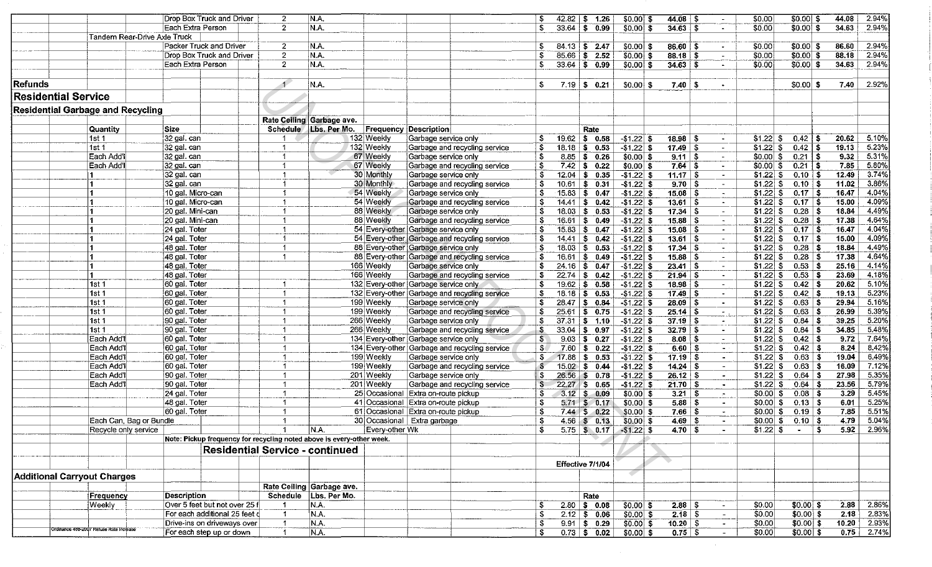|                             |                                          | Drop Box Truck and Driver                                             | $\overline{2}$       | N.A.                                   |                 |                                               | \$           | 42.82              | \$ 1.26              | $$0.00$ \$                   |                      |                | \$0.00                                   |                                 | $$0.00$ \$  | 44.08 | 2.94%          |
|-----------------------------|------------------------------------------|-----------------------------------------------------------------------|----------------------|----------------------------------------|-----------------|-----------------------------------------------|--------------|--------------------|----------------------|------------------------------|----------------------|----------------|------------------------------------------|---------------------------------|-------------|-------|----------------|
|                             |                                          | Each Extra Person                                                     | $\overline{2}$       | N.A.                                   |                 |                                               | \$           | 33.64              | 0.99<br>$\mathbf{s}$ | $$0.00$ \$                   |                      |                | \$0.00<br>$\sim$                         |                                 | $$0.00$ \$  | 34.63 | 2.94%          |
|                             | Tandem Rear-Drive Axle Truck             |                                                                       |                      |                                        |                 |                                               |              |                    |                      |                              |                      |                |                                          |                                 |             |       |                |
|                             |                                          | Packer Truck and Driver                                               | $\overline{2}$       | N.A.                                   |                 |                                               | \$           |                    | $84.13$ \$ 2.47      | \$0.00 \$                    | $86.60$ \ \$         |                | \$0.00                                   |                                 | $$0.00 $ \$ | 86.60 | 2.94%          |
|                             |                                          | Drop Box Truck and Driver                                             | $\overline{2}$       | N.A.                                   |                 |                                               | \$           | 85.66              | \$ 2.52              | $$0.00$ \$                   | $88.18$ \$           | $\sim$         | \$0.00                                   |                                 | $$0.00$ \$  | 88.18 | 2.94%          |
|                             |                                          | Each Extra Person                                                     | $\overline{2}$       | N.A.                                   |                 |                                               | \$           |                    | $33.64$ \$ 0.99      | $$0.00$ \ \$                 | $34.63$ \$           |                | \$0.00                                   |                                 | $$0.00 $ \$ | 34.63 | 2.94%          |
|                             |                                          |                                                                       |                      |                                        |                 |                                               |              |                    |                      |                              |                      |                |                                          |                                 |             |       |                |
| Refunds                     |                                          |                                                                       | $\mathbf{1}$         | N.A.                                   |                 |                                               | \$           | 7.19               | $\sqrt{2}$<br>0.21   | $$0.00 $ \$                  | $7.40 \pm 3$         |                |                                          |                                 | $$0.00 $ \$ | 7.40  | 2.92%          |
| <b>Residential Service</b>  |                                          |                                                                       |                      |                                        |                 |                                               |              |                    |                      |                              |                      |                |                                          |                                 |             |       |                |
|                             |                                          |                                                                       |                      |                                        |                 |                                               |              |                    |                      |                              |                      |                |                                          |                                 |             |       |                |
|                             | <b>Residential Garbage and Recycling</b> |                                                                       |                      |                                        |                 |                                               |              |                    |                      |                              |                      |                |                                          |                                 |             |       |                |
|                             |                                          |                                                                       |                      | Rate Ceiling Garbage ave.              |                 |                                               |              |                    |                      |                              |                      |                |                                          |                                 |             |       |                |
|                             | Quantity                                 | Size                                                                  |                      | Schedule / Lbs. Per Mo.                |                 | <b>Frequency Description</b>                  |              |                    | Rate                 |                              |                      |                |                                          |                                 |             |       |                |
|                             | 1st 1                                    | 32 gal. can                                                           |                      |                                        | 132 Weekly      | Garbage service only                          | \$           |                    | $19.62$ \$ 0.58      | $-$ \$1.22 \$                | $18.98$ \ \$         | $\blacksquare$ | \$1.22                                   | -S                              | $0.42$   \$ | 20.62 | 5.10%          |
|                             | 1st <sub>1</sub>                         | 32 gal. can                                                           |                      |                                        | 132 Weekly      | Garbage and recycling service                 | \$           | 18.18   \$         | 0.53                 | $-$ \$1.22 \ \$              | $17.49$ \ \$         |                | \$1.22<br>$\sim$                         | - \$                            | $0.42$   \$ | 19.13 | 5.23%          |
|                             | Each Add'l                               | 32 gal. can                                                           | -1                   |                                        | 67 Weekly       | Garbage service only                          | \$           | $8.85$ \$          | 0.26                 | $$0.00 $ \$                  | $9.11$ \$            |                | \$0.00                                   | -\$                             | $0.21$   \$ | 9.32  | 5.31%          |
|                             | Each Add'l                               | 32 gal. can                                                           | $\blacktriangleleft$ |                                        | 67 Weekly       | Garbage and recycling service                 | -S           | $7.42$ \$          | 0.22                 | $$0.00$ \$                   | $7.64$ \$            |                | $$0.00 $ \$<br>$\sim$                    |                                 | $0.21$   \$ | 7.85  | 5.80%          |
|                             |                                          | 32 gal. can                                                           |                      |                                        | 30 Monthly      | Garbage service only                          | \$           | $12.04$ \$         | 0.35                 | $-$ \$1.22 \$                | $11.17$ \ \$         |                | $\omega_{\rm{c}}$                        |                                 | $0.10$   \$ | 12.49 | 374%           |
|                             | 11                                       | 32 gal. can                                                           |                      |                                        | 30 Monthly      | Garbage and recycling service                 | - \$         | 10.61              | 0.31<br>∣\$.         | $-$ \$1.22 \$                | 9.70 S               |                | $$1.22 \,$ \ \$<br>$\sim$                |                                 | $0.10$   \$ | 11.02 | 3.86%          |
|                             | 11                                       | 10 gal. Micro-can                                                     |                      |                                        | 54 Weekly       | Garbage service only                          | \$           | $15.83 \;   \; $$  | 0.47                 | $$1.22$ \$                   | $15.08$ \$           |                | $$1.22$ \$<br>$\sim$                     |                                 | $0.17$ \$   | 16.47 | 4.04%          |
|                             | 11                                       | 10 gal. Micro-can                                                     |                      |                                        | 54 Weekly       | Garbage and recycling service                 | S            | $14.41$   \$       | 0.42                 | $-$1.22$ \$                  | $13.61$ \ \$         |                | $$1.22$ $$$<br>$\bullet$ .               |                                 | $0.17$   \$ | 15.00 | 4.09%          |
|                             |                                          | 20 gal. Mini-can                                                      |                      |                                        | 88 Weekly       | Garbage service only                          | \$           | $18.03 \mid$ \$    | 0.53                 | $$1.22$ \$                   | $17.34  $ \$         |                | $\sim$                                   |                                 | $0.28$   \$ | 18.84 | 4.49%          |
|                             | 11                                       | 20 gal. Mini-can                                                      |                      |                                        | 88 Weekly       | Garbage and recycling service                 | - \$         | $16.61$ \$         | 0.49                 | $-$ \$1.22 \$                | $15.88$ \ \$         |                | $$1.22$ $$$                              |                                 | $0.28$ \$   | 17.38 | 4.64%          |
|                             | 11                                       | 24 gal. Toter                                                         |                      |                                        |                 | 54 Every-other Garbage service only           | - \$         | $15.83$ \$         | 0.47                 | $-$1.22$ \$                  | $15.08$ \ \$         |                | $$1.22$ \$<br>$\sim$                     |                                 | $0.17$ \$   | 16.47 | 4.04%          |
|                             | 11                                       | 24 gal. Toter                                                         |                      |                                        |                 | 54 Every-other Garbage and recycling service  |              | $14.41$ $\sqrt$    | 0.42                 | $-51.22$ \$                  | $13.61$ \ \$         |                | $$1.22$ $$$<br>$\sim$                    |                                 | $0.17$ S    | 15.00 | 4.09%          |
|                             |                                          | 48 gal. Toter                                                         |                      |                                        |                 | 88 Every-other Garbage service only           | \$           | $18.03$ \$         | 0.53                 | $-$1.22$ \$                  | $17.34$ \$           |                | $$1.22$ \$<br>$\sim$                     |                                 | $0.28$ \$   | 18.84 | 4.49%          |
|                             | 11.                                      | 48 gal. Toter                                                         | -1                   |                                        |                 | 88 Every-other Garbage and recycling service  | \$           | $16.61$ \$         | 0.49                 | $-$1.22$ \$                  | $15.88$ \ \$         |                | $$1.22$ \$                               |                                 | $0.28$ \$   | 17.38 | 4.64%          |
|                             | 11                                       | 48 gal. Toter                                                         |                      |                                        | 166 Weekly      | Garbage service only                          | \$           | $24.16$ \$         | 0.47                 | $-$ \$1.22 \$                |                      |                | $$1.22$ \ \$<br>$\overline{\phantom{a}}$ |                                 | $0.53$ \$   | 25.16 | 4.14%          |
|                             | 11                                       | 48 gal. Toter                                                         |                      |                                        | 166 Weekly      | Garbage and recycling service                 | \$           | $22.74$ \$         | 0.42                 | $-$ \$1.22   \$              | $21.94$ \$           |                | $\blacksquare$                           |                                 | $0.53$ \$   | 23.69 | 4.18%          |
|                             | ∣1st 1                                   | 60 gal. Toter                                                         |                      |                                        |                 | 132 Every-other Garbage service only          | \$           | $19.62$ \$         | 0.58                 | $-51.22$ \$                  |                      |                | $$1.22 \,   \, $$<br>$\sim$              |                                 | $0.42$ \$   | 20.62 | 5.10%          |
|                             | 1st 1                                    | 60 gal. Toter                                                         |                      |                                        |                 | 132 Every-other Garbage and recycling service | \$           | $18.18$ \$         | 0.53                 | $-$ \$1.22 \ \$              | $17.49$ \ \$         |                | $$1.22$ \$<br>$\sim$                     |                                 | $0.42$ \$   | 19.13 | 5.23%          |
|                             | 1st 1                                    | 60 gal. Toter                                                         |                      |                                        | 199 Weekly      | Garbage service only                          | S            | 28.47              | 0.84<br><b>S</b>     | $-$ \$1.22 $\frac{1}{9}$     | $28.09$ \$           |                | $$1.22 \,$ \$<br>$\Delta \phi$           |                                 | $0.63$ \$   | 29.94 | 5.16%          |
|                             | 1st 1                                    | 60 gal. Toter                                                         |                      |                                        | 199 Weekly      | Garbage and recycling service                 | \$           | 25.61              | 0.75<br>-\$          | $-$1.22$ \$                  | $25.14$ \ \$         |                | $$1.22$$ \ \$                            |                                 | $0.63$ \$   | 26.99 | 5.39%          |
|                             | 1st 1                                    | 90 gal. Toter                                                         |                      |                                        | 266 Weekly      | Garbage service only                          | - 6          |                    | $37.31$ \$ 1.10      | $-$ \$1.22 \$                | $37.19$ \ \$         |                | $$1.22 \ $ \$<br>$\sim$                  |                                 | $0.84$ \ \$ | 39.25 | 5.20%          |
|                             | 1st 1                                    | 90 gal. Toter                                                         |                      |                                        | 266 Weekly      | Garbage and recycling service                 | -\$          | $33.04$ \$         | 0.97                 | $-$ \$1.22 \ \$              | $32.79$ \$           |                | $$1.22$ \$<br>$\bullet$                  |                                 | $0.84$   \$ | 34.85 | 5.48%          |
|                             | Each Add'l                               | 60 gal. Toter                                                         |                      |                                        |                 | 134 Every-other Garbage service only          | S.           | $9.03 \, \text{S}$ | 0.27                 | $-$ \$1.22 \ \$              | $8.08$ \ \$          |                | $$1.22 $ \$<br>$\sim$                    |                                 | $0.42$   \$ | 9.72  | 7.64%          |
|                             | Each Add'l                               | 60 gal. Toter                                                         | -1                   |                                        |                 | 134 Every-other Garbage and recycling service | $$^{\circ}$  | $7.60$ \$          | 0.22                 | $-$1.22$ \$                  | $6.60$ \$            |                | $$1.22$ $$$<br>$\sim$ 1                  |                                 | $0.42$ \$   | 8.24  | 8.42%          |
|                             | Each Add'l                               | 60 gal. Toter                                                         | 1                    |                                        | 199 Weekly      | Garbage service only                          | \$           | $17.88$ \$         | 0.53                 | $-$1.22$ \$                  | $17.19$ \$           |                | $$1.22$ \$<br>$\sim$                     |                                 | $0.63$ \$   | 19.04 | 6.49%          |
|                             | Each Add'l                               | 60 gal. Toter                                                         |                      |                                        | 199 Weekly      | Garbage and recycling service                 | $\bullet$    | $15.02$ \$         | 0.44                 | $-$ \$1.22 \$                | $14.24$ \$           |                | $$1.22$ \$<br>$\sim$                     |                                 | 0.63<br>l S | 16.09 | 7.12%          |
|                             | Each Add'l                               | 90 gal. Toter                                                         |                      |                                        | 201 Weekly      | Garbage service only                          | $\mathbf{s}$ | $26.56$ \$         | 0.78                 | $-$ \$1.22 \$                | $26.12$ \$           |                | $$1.22$ \$<br>$\blacksquare$             |                                 | $0.64$ \$   | 27.98 | 5.35%          |
|                             | Each Add'l                               | 90 gal. Toter                                                         | $\mathbf 1$          |                                        | 201 Weekly      | Garbage and recycling service                 | \$           | $22.27$ \$         | 0.65                 | $-$ \$1.22 \$                | $21.70$ \$           |                | $$1.22$ \$<br>$\sim$                     |                                 | $0.64$ \$   | 23.56 | 5.79%          |
|                             |                                          | 24 gal. Toter                                                         | $\blacktriangleleft$ |                                        |                 | 25 Occasional Extra on-route pickup           | \$           | $3.12$ \$          | 0.09                 | $$0.00 $ \$                  | $3.21$ \ \$          |                | $$0.00 $ \$<br>$\sigma$ .                |                                 | $0.08$ \$   | 3.29  | 5.45%          |
|                             |                                          | 48 gal. Toter                                                         | 1                    |                                        |                 | 41 Occasional Extra on-route pickup           | - \$         |                    | $5.71$ \$ 0.17       | $$0.00$ \$                   | $5.88$ \ \$          |                | $$0.00 $ \$<br>$\sim$                    |                                 | $0.13$ \$   | 6.01  | 5.25%          |
|                             |                                          | 60 gal. Toter                                                         |                      |                                        |                 | 61 Occasional Extra on-route pickup           | \$           | $7.44$ \ \$        | 0.22                 | \$0.00 \$                    | $7.66  $ \$          |                | $$0.00 $ \$<br>$\sim$                    |                                 | $0.19$ \$   | 7.85  | 5.51%          |
|                             | Each Can, Bag or Bundle                  |                                                                       | 1                    |                                        |                 | 30 Occasional Extra garbage                   | S            |                    | $4.56$ \$ 0.13       | $$0.00 $ \$                  | $4.69$ \$            |                | \$0.00 S                                 |                                 | $0.10$   \$ | 4.79  | 5.04%          |
|                             |                                          |                                                                       |                      |                                        |                 |                                               |              |                    |                      |                              |                      |                |                                          |                                 |             |       |                |
|                             | Recycle only service                     | Note: Pickup frequency for recycling noted above is every-other week. |                      | N.A.                                   | ∣Every-other Wk |                                               | Þ.           |                    |                      | $5.75$ \$ 0.17 $-$ \$1.22 \$ | $4.70 \, \, 5$       |                |                                          | $$1.22 \,   \, 5$<br>$\sim 100$ | -5          |       | $5.92$   2.96% |
|                             |                                          |                                                                       |                      |                                        |                 |                                               |              |                    |                      |                              |                      |                |                                          |                                 |             |       |                |
|                             |                                          |                                                                       |                      | <b>Residential Service - continued</b> |                 |                                               |              |                    |                      |                              |                      |                |                                          |                                 |             |       |                |
|                             |                                          |                                                                       |                      |                                        |                 |                                               |              |                    | Effective 7/1/04     |                              |                      |                |                                          |                                 |             |       |                |
|                             |                                          |                                                                       |                      |                                        |                 |                                               |              |                    |                      |                              |                      |                |                                          |                                 |             |       |                |
| Additional Carryout Charges |                                          |                                                                       |                      |                                        |                 |                                               |              |                    |                      |                              |                      |                |                                          |                                 |             |       |                |
|                             |                                          |                                                                       |                      | Rate Ceiling Garbage ave.              |                 |                                               |              |                    |                      |                              |                      |                |                                          |                                 |             |       |                |
|                             | Frequency                                | Description                                                           |                      | Schedule Lbs. Per Mo.                  |                 |                                               |              |                    | Rate                 |                              |                      |                |                                          |                                 |             |       |                |
|                             | Weekly                                   | Over 5 feet but not over 25 f                                         |                      | N.A.                                   |                 |                                               | \$           |                    | $2.80$ \$ 0.08       | $$0.00$ \$                   |                      |                | \$0.00                                   |                                 | $$0.00]$ \$ | 2.88  | 2.86%          |
|                             |                                          | For each additional 25 feet d                                         |                      | N.A.                                   |                 |                                               | \$           |                    | $2.12$ \$ 0.06       | $$0.00$ \$                   | $\overline{2.18}$ \$ |                | \$0.00 <br>$\sim$                        |                                 | $$0.00$ \$  | 2.18  | 2.83%          |
|                             |                                          | Drive-ins on driveways over                                           |                      | N.A.                                   |                 |                                               | \$           |                    | $9.91$ \$ 0.29       | $50.00$ \$                   | $10.20$ \$           |                | \$0.00                                   |                                 | $$0.00$ \$  | 10.20 | 2.93%          |
|                             | Ordinance 488-2007 Retuse Rate Increase  | For each step up or down                                              |                      | N.A.                                   |                 |                                               | - 5          |                    | $0.73$ \$ 0.02       | $$0.00$ \$                   | $\overline{0.75}$ \$ |                | \$0.00                                   |                                 | $$0.00$ \$  |       | $0.75$ 2.74%   |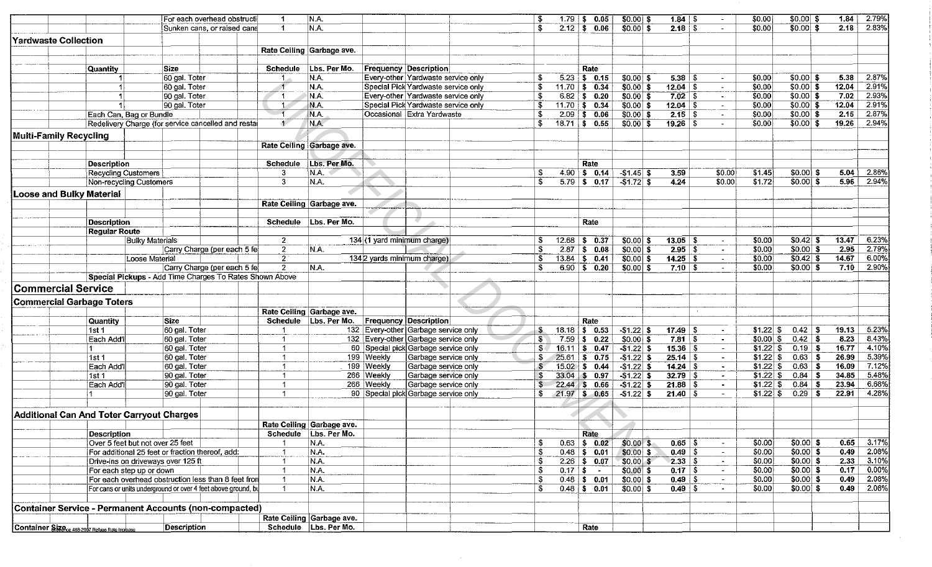|                                  |                                                            | For each overhead obstructi                                   | -1                          | N.A.                      |            |                                      | \$             | $1.79$ \$ 0.05                        | $$0.00$ \$     | $1.84$ \$                        | $\sim$                   | \$0.00           | $$0.00 $ \$              | 1.84          | 2.79% |
|----------------------------------|------------------------------------------------------------|---------------------------------------------------------------|-----------------------------|---------------------------|------------|--------------------------------------|----------------|---------------------------------------|----------------|----------------------------------|--------------------------|------------------|--------------------------|---------------|-------|
|                                  |                                                            | Sunken cans, or raised cans                                   | $\overline{1}$              | N.A.                      |            |                                      | £.             | $2.12$ \$ 0.06                        | $$0.00$ \$     | 2.18 <sup>8</sup>                | $\sim$                   | \$0.00           | $$0.00$ \$               | 2.18          | 2.83% |
| <b>Yardwaste Collection</b>      |                                                            |                                                               |                             |                           |            |                                      |                |                                       |                |                                  |                          |                  |                          |               |       |
|                                  |                                                            |                                                               |                             | Rate Ceiling Garbage ave. |            |                                      |                |                                       |                |                                  |                          |                  |                          |               |       |
|                                  |                                                            |                                                               |                             |                           |            |                                      |                |                                       |                |                                  |                          |                  |                          |               |       |
|                                  | <b>Quantity</b>                                            | Size                                                          | <b>Schedule</b>             | Lbs. Per Mo.              |            | <b>Frequency Description</b>         |                | Rate                                  |                |                                  |                          |                  |                          |               |       |
|                                  |                                                            | 60 gal. Toter                                                 | -1 -                        | N.A.                      |            | Every-other Yardwaste service only   | £.             | $5.23$ \$ 0.15                        | $$0.00 $ \$    | 5.38%                            | $\blacksquare$           | \$0.00           | $$0.00 $ \$              | 5.38          | 2.87% |
|                                  |                                                            | 60 gal. Toter                                                 | $\overline{1}$              | N.A.                      |            | Special Pick Yardwaste service only  | S              | $11.70$ \$ 0.34                       | $$0.00$ \$     | $12.04$ \$                       | $\blacksquare$           | \$0.00           | $\sqrt{$0.00 \times 90}$ | 12.04         | 2.91% |
|                                  |                                                            | 90 gal. Toter                                                 | -1                          | N.A.                      |            | Every-other Yardwaste service only   | S              | $6.82 \, \text{ } 5 \, \text{ } 0.20$ | $$0.00$ \$     | $7.02$ \$                        | $\sim$                   | \$0.00           | $$0.00 $ \$              | 7.02          | 2.93% |
|                                  |                                                            | 90 gal. Toter                                                 | $\sim$                      | N.A.                      |            | Special Pick Yardwaste service only  | \$             | $11.70$ \$ 0.34                       | $$0.00 $ \$    | $12.04$ \$                       | $\blacksquare$           | \$0.00           | $$0.00$ \$               | 12.04         | 2.91% |
|                                  | Each Can, Bag or Bundle                                    |                                                               | $-1$                        | N.A.                      |            | Occasional Extra Yardwaste           | S              | $2.09$ \$ 0.06                        | $$0.00 $ \$    | $2.15$ \$                        | $\sim$                   | \$0.00           | $$0.00 $ \$              | 2.15          | 2.87% |
|                                  |                                                            | Redelivery Charge (for service cancelled and restar           | $\ddot{\phantom{1}}$        | N.A.                      |            |                                      | S.             | $18.71$ \$ 0.55                       | $$0.00 $ \$    | $19.26$ \$                       |                          | \$0.00           | $ 30.00 $ \$             | 19.26         | 2.94% |
| <b>Multi-Family Recycling</b>    |                                                            |                                                               |                             |                           |            |                                      |                |                                       |                |                                  |                          |                  |                          |               |       |
|                                  |                                                            |                                                               |                             | Rate Ceiling Garbage ave. |            |                                      |                |                                       |                |                                  |                          |                  |                          |               |       |
|                                  |                                                            |                                                               |                             |                           |            |                                      |                |                                       |                |                                  |                          |                  |                          |               |       |
|                                  | <b>Description</b>                                         |                                                               | Schedule                    | Lbs. Per Mo.              |            |                                      |                | Rate                                  |                |                                  |                          |                  |                          |               |       |
|                                  | <b>Recycling Customers</b>                                 |                                                               | 3                           | N.A.                      |            |                                      | \$             | $4.90$ \$ 0.14                        | $-$ \$1.45 \\$ | 3.59                             | \$0.00                   | 31.45            | $$0.00$ \$               | 5.04          | 2.86% |
|                                  | Non-recycling Customers                                    |                                                               | 3                           | N.A.                      |            |                                      | £.             | $5.79$ \$ 0.17                        | $-$1.72$ \$    | 4.24                             | \$0.00                   | \$1.72           | $$0.00]$ \$              | 5.96          | 2.94% |
|                                  |                                                            |                                                               |                             |                           |            |                                      |                |                                       |                |                                  |                          |                  |                          |               |       |
| <b>Loose and Bulky Material</b>  |                                                            |                                                               |                             |                           |            |                                      |                |                                       |                |                                  |                          |                  |                          |               |       |
|                                  |                                                            |                                                               |                             | Rate Ceiling Garbage ave. |            |                                      |                |                                       |                |                                  |                          |                  |                          |               |       |
|                                  |                                                            |                                                               |                             |                           |            |                                      |                |                                       |                |                                  |                          |                  |                          |               |       |
|                                  | <b>Description</b>                                         |                                                               | <b>Schedule</b>             | Lbs. Per Mo.              |            |                                      |                | Rate                                  |                |                                  |                          |                  |                          |               |       |
|                                  | <b>Regular Route</b>                                       |                                                               |                             |                           |            |                                      |                |                                       |                |                                  |                          |                  |                          |               | 6.23% |
|                                  |                                                            | <b>Bulky Materials</b>                                        | 2                           |                           |            | 134 (1 yard minimum charge)          | \$<br>\$       | $12.68$ \$ 0.37                       | $$0.00$ \$     | $13.05$ \$                       | $\sim$                   | \$0.00           | $$0.42$ \$               | 13.47         | 2.79% |
|                                  |                                                            | Carry Charge (per each 5 fel                                  | $\mathbf{2}$<br>$2^{\circ}$ | N.A.                      |            | 134 2 yards minimum charge)          | S              | $2.87$ \$ 0.08                        | $$0.00$ \$     | $2.95$ \$                        | $\sim$                   | \$0.00           | \$0.00 \$                | 2.95          | 6.00% |
|                                  | Loose Material                                             | Carry Charge (per each 5 fel                                  | $\overline{2}$              | N.A.                      |            |                                      | \$             | $13.84$ \$ 0.41<br>$6.90$ \$ 0.20     | \$0.00 \$      | $14.25$ \$                       | $\sim$                   | \$0.00<br>\$0.00 | \$0.42\$<br>$$0.00$ \$   | 14.67<br>7.10 | 2.90% |
|                                  |                                                            | Special Pickups - Add Time Charges To Rates Shown Above       |                             |                           |            |                                      |                |                                       | \$0.00 \$      | $7.10$ \$                        |                          |                  |                          |               |       |
|                                  |                                                            |                                                               |                             |                           |            |                                      |                |                                       |                |                                  |                          |                  |                          |               |       |
| <b>Commercial Service</b>        |                                                            |                                                               |                             |                           |            |                                      |                |                                       |                |                                  |                          |                  |                          |               |       |
| <b>Commercial Garbage Toters</b> |                                                            |                                                               |                             |                           |            |                                      |                |                                       |                |                                  |                          |                  |                          |               |       |
|                                  |                                                            |                                                               |                             | Rate Ceiling Garbage ave. |            |                                      |                |                                       |                |                                  |                          |                  |                          |               |       |
|                                  | <b>Quantity</b>                                            | <b>Size</b>                                                   |                             | Schedule   Lbs. Per Mo.   |            | <b>Frequency Description</b>         |                | Rate                                  |                |                                  |                          |                  |                          |               |       |
|                                  | 1st1                                                       | 60 gal. Toter                                                 | -1                          |                           |            | 132 Every-other Garbage service only | S.             | $18.18$ \$ 0.53                       | $-$1.22$ \$    | $17.49$ \ \$                     |                          | $$1.22$ \ \$     | $0.42$ \$                | 19.13         | 5.23% |
|                                  | Each Add'l                                                 | 60 gal. Toter                                                 | $\overline{1}$              |                           |            | 132 Every-other Garbage service only | s.             | $7.59$   \$ 0.22                      | $$0.00$ \$     | $7.81$ \$                        | $\sim$                   | $$0.00$ \ \$     | $0.42$ \$                | 8.23          | 8.43% |
|                                  |                                                            | 60 gal. Toter                                                 |                             |                           |            | 60 Special pick Garbage service only | 3 <sub>1</sub> | $16.11$ \$ 0.47                       | $-$1.22$ \$    | $15.36$ \$                       | $\sim$                   | $$1.22$ \ \$     | $0.19$ \$                | 16.77         | 4.10% |
|                                  | 1st 1                                                      | 60 gal. Toter                                                 |                             |                           | 199 Weekly | Garbage service only                 | S              | $25.61$ \$ 0.75                       | $-$1.22$ \$    | $25.14$ \$                       | $\sim$                   |                  | $0.63  $ \$              | 26.99         | 5.39% |
|                                  | Each Add'l                                                 | 60 gal. Toter                                                 | -1                          |                           | 199 Weekly | Garbage service only                 | S              | $15.02$ \$ 0.44                       | $-$1.22$ \$    | $14.24$ \$                       | $\sim$                   | $$1.22$ \$       | $0.63  $ \$              | 16.09         | 7.12% |
|                                  | 1st 1                                                      | 90 gal. Toter                                                 |                             |                           | 266 Weekly | Garbage service only                 |                | $33.04$ \$ 0.97                       | $-$ \$1.22 \$  | $32.79$ \$                       | $\bullet$                |                  | $0.84$ \$                | 34.85         | 5.48% |
|                                  | Each Add <sup>'</sup>                                      | 90 gal. Toter                                                 |                             |                           | 266 Weekly | Garbage service only                 |                | $22.44$ \$ 0.66                       | $-$1.22$ \$    | $21.88$ \$                       | $\sim$                   | $$1.22$ \$       | $0.84$ \$                | 23.94         | 6.68% |
|                                  |                                                            | 90 gal. Toter                                                 | $\blacktriangleleft$        |                           |            | 90 Special pick Garbage service only | \$             | $21.97$ \$ 0.65                       | $-51.22$ \$    | $21.40$ \$                       | $\sim$                   | $$1.22$ \$       | $0.29$ \$                | 22.91         | 4.28% |
|                                  |                                                            |                                                               |                             |                           |            |                                      |                |                                       |                |                                  |                          |                  |                          |               |       |
|                                  | Additional Can And Toter Carryout Charges                  |                                                               |                             |                           |            |                                      |                |                                       |                |                                  |                          |                  |                          |               |       |
|                                  |                                                            |                                                               |                             | Rate Ceiling Garbage ave. |            |                                      |                |                                       |                |                                  |                          |                  |                          |               |       |
|                                  | <b>Description</b>                                         |                                                               |                             | Schedule   Lbs. Per Mo.   |            |                                      |                | Rate                                  |                |                                  |                          |                  |                          |               |       |
|                                  | Over 5 feet but not over 25 feet                           |                                                               |                             | N.A.                      |            |                                      | S              | $0.63$ \$ 0.02                        | $$0.00$ \$     | $0.65$ \$                        | $\overline{\phantom{a}}$ | \$0.00           | $50.00$ \$               | 0.65          | 3.17% |
|                                  |                                                            | For additional 25 feet or fraction thereof, add:              |                             | N.A.                      |            |                                      | \$             | $0.48$ \$ 0.01                        | $$0.00$ \$     | $\overline{0.49}$ \$             | $\sim$                   | \$0.00           | $$0.00$ \$               | 0.49          | 2.08% |
|                                  | Drive-ins on driveways over 125 ft                         |                                                               |                             | N.A.                      |            |                                      | \$             | $2.26$ \$ 0.07                        | $$0.00$ \$     | $2.33$ $\overline{\phantom{1}8}$ | $\tilde{\phantom{a}}$    | \$0.00           | $$0.00 $ \$              | 2.33          | 3.10% |
|                                  | For each step up or down                                   |                                                               |                             | N.A.                      |            |                                      | \$             | $0.17$ \$ -                           | $$0.00$ \$     | $0.17^{+5}$                      | $\sim$                   | \$0.00           | $$0.00$ \$               | 0.17          | 0.00% |
|                                  |                                                            | For each overhead obstruction less than 8 feet fron           |                             | N.A.                      |            |                                      | \$             | $0.48$ \$ 0.01                        | $$0.00 $ \$    | $\overline{0.49}$ \$             |                          | \$0.00           | $$0.00 $ \$              | 0.49          | 2.08% |
|                                  |                                                            | For cans or units underground or over 4 feet above ground, bu |                             | N.A.                      |            |                                      | \$             | $0.48$ \$ 0.01                        | $$0.00 $ \$    | $0.49$ \$                        |                          | \$0.00           | $$0.00]$ \$              | 0.49          | 2.08% |
|                                  |                                                            |                                                               |                             |                           |            |                                      |                |                                       |                |                                  |                          |                  |                          |               |       |
|                                  |                                                            | Container Service - Permanent Accounts (non-compacted)        |                             |                           |            |                                      |                |                                       |                |                                  |                          |                  |                          |               |       |
|                                  |                                                            |                                                               |                             | Rate Ceiling Garbage ave. |            |                                      |                |                                       |                |                                  |                          |                  |                          |               |       |
|                                  | Container Size <sub>ce 488-2007</sub> Refuse Rate Increase | <b>Description</b>                                            |                             | Schedule Lbs. Per Mo.     |            |                                      |                | Rate                                  |                |                                  |                          |                  |                          |               |       |
|                                  |                                                            |                                                               |                             |                           |            |                                      |                |                                       |                |                                  |                          |                  |                          |               |       |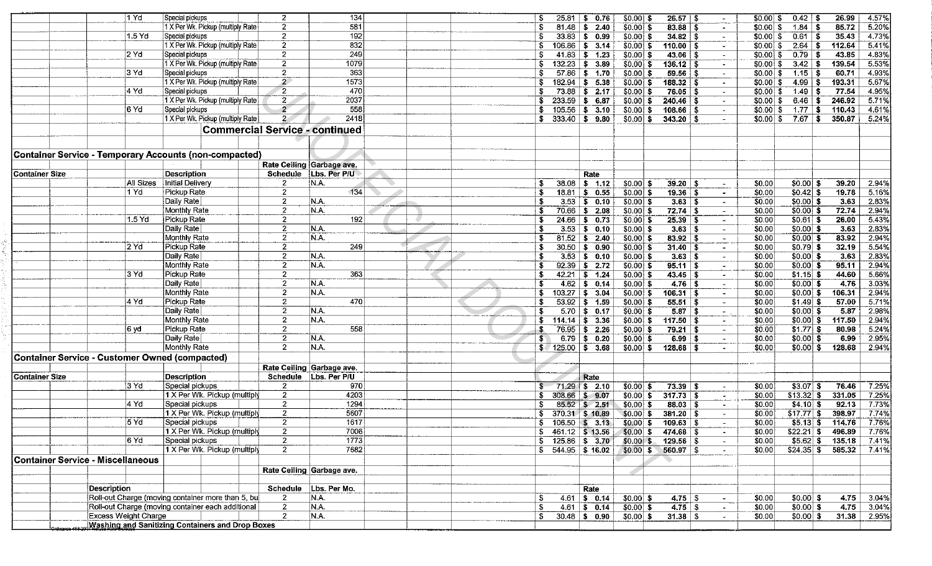|                | $1$ Yd                                         | Special pickups                                        | $\overline{2}$            | 134                       |  | l S                      | $25.81$ \$ 0.76       | $$0.00$ \$  | 26.57   \$              |                          | $$0.00$ \$          | $0.42$ \$                   | 26.99  | 4.57%        |
|----------------|------------------------------------------------|--------------------------------------------------------|---------------------------|---------------------------|--|--------------------------|-----------------------|-------------|-------------------------|--------------------------|---------------------|-----------------------------|--------|--------------|
|                |                                                | 1 X Per Wk. Pickup (multiply Rate                      | $\overline{2}$            | 581                       |  | -5                       | $81.48$ \$ 2.40       | $$0.00 $ \$ |                         | $\bullet$ .              | \$0.00              | $1.84$ \ \$<br>- \$         | 85.72  | 5.20%        |
|                | $1.5$ Yd                                       | Special pickups                                        | $\overline{2}$            | 192                       |  |                          | $33.83$ \$ 0.99       | $$0.00]$ \$ | $34.82$ \ \$            | $\sim$                   | \$0.00              | $0.61$ \$<br>- \$           | 35.43  | 4.73%        |
|                |                                                | 1 X Per Wk. Pickup (multiply Rate                      | $\overline{2}$            | 832                       |  | -5                       | $106.86$ \$ 3.14      | $$0.00]$ \$ | $110.00$   \$           | $\blacksquare$           |                     | $2.64$ \$                   | 112.64 | 5.41%        |
|                | 2 Yd                                           | Special pickups                                        | $\overline{2}$            | 249                       |  | - \$                     | $41.83$ \$ 1.23       | $$0.00$ \$  | $43.06$ \ \$            | $\sim$                   | \$0.00 S            | $0.79$ \$                   | 43.85  | 4.83%        |
|                |                                                | 1 X Per Wk. Pickup (multiply Rate                      | $\mathbf{2}$              | 1079                      |  |                          |                       |             |                         |                          |                     |                             |        |              |
|                |                                                |                                                        |                           |                           |  | \$                       | $132.23$ \$ 3.89      | $$0.00]$ \$ | $136.12$ \ \$           | $\blacksquare$           | \$0.00 S            | $3.42 \,   \, 3$            | 139.54 | 5.53%        |
|                | 3 Yd                                           | Special pickups                                        | $\mathbf{2}$              | 363                       |  | -\$                      | $57.86$ \$ 1.70       | $$0.00$ \$  | $59.56$ \ \$            | $\sim$                   | $$0.00 $ \$         | $1.15$ \$                   | 60.71  | 4.93%        |
|                |                                                | 1 X Per Wk. Pickup (multiply Rate                      | $\mathbf{2}^{\bullet}$    | 1573                      |  | S                        | $182.94$ \$ 5.38      | $$0.00$ \$  | $188.32  $ \$           | $\sim$                   | $$0.00 $ \$         | $4.99$ \ \$                 | 193.31 | 5.67%        |
|                | i4 Yd                                          | Special pickups                                        | $\overline{2}$            | 470                       |  |                          | $73.88$ \$ 2.17       | $$0.00$ \$  | $76.05$ \ \$            | $\mathcal{L}^{\pm}$      | $$0.00 $ \$         | $1.49$   \$                 | 77.54  | 4.95%        |
|                |                                                | 1 X Per Wk. Pickup (multiply Rate                      | $\overline{2}$            | 2037                      |  | s.                       | $233.59$ \$ 6.87      | $$0.00$ \$  | $240.46$ \ \$           | $\sim$                   | $$0.00 $ \$         | $6.46 $ \$                  | 246.92 | 571%         |
|                | 16 Yd                                          | Special pickups                                        | $\overline{2}$            | 558                       |  | S.                       | $105.56$ \$ 3.10      | $$0.00$ \$  | $108.66  $ \$           | $\sim$                   | $$0.00 $ \$         | $1.77$ \$                   | 110.43 | 4.61%        |
|                |                                                | 1 X Per Wk. Pickup (multiply Rate                      | $\mathbf{2}$              | 2418                      |  | $$333.40 \;   \; $9.80$  |                       | $$0.00$ \$  |                         | $\sim$                   | $$0.00 \, \text{S}$ | $7.67$ \ \$                 | 350.87 | 5.24%        |
|                |                                                |                                                        |                           |                           |  |                          |                       |             |                         |                          |                     |                             |        |              |
|                |                                                | <b>Commercial Service - continued</b>                  |                           |                           |  |                          |                       |             |                         |                          |                     |                             |        |              |
|                |                                                |                                                        |                           |                           |  |                          |                       |             |                         |                          |                     |                             |        |              |
|                |                                                |                                                        |                           |                           |  |                          |                       |             |                         |                          |                     |                             |        |              |
|                |                                                | Container Service - Temporary Accounts (non-compacted) |                           |                           |  |                          |                       |             |                         |                          |                     |                             |        |              |
|                |                                                |                                                        | Rate Ceiling Garbage ave. |                           |  |                          |                       |             |                         |                          |                     |                             |        |              |
| Container Size |                                                | Description                                            | Schedule                  | Lbs. Per P/U              |  |                          | Rate                  |             |                         |                          |                     |                             |        |              |
|                | All Sizes                                      | <b>Initial Delivery</b>                                | $\mathbf{2}$              | N.A.                      |  | 38.08<br>£.              | \$ 1.12               | $$0.00$ \$  | $39.20$ \ \$            | $\sim$                   | \$0.00              | $$0.00$ \$                  | 39.20  | 2.94%        |
|                | 1 Yd                                           | Pickup Rate                                            | $\overline{\mathbf{c}}$   | 134                       |  | -S                       | $18.81$ \$ 0.55       | $$0.00$ \$  | $19.36$ \ \$            | $\sim$                   | \$0.00              | $ $0.42]$ \$                | 19.78  | 5.16%        |
|                |                                                | │Daily Rate│                                           | $\mathbf{2}$              | N.A.                      |  | - \$                     | $3.53$ \$ 0.10        | $$0.00$ \$  | $3.63  $ \$             | $\blacksquare$           | \$0.00              | $$0.00$ \$                  | 3.63   | 2.83%        |
|                |                                                | Monthly Rate                                           | $\mathbf{2}$              | N.A.                      |  | \$.                      |                       |             |                         |                          |                     | $$0.00$ \$                  | 72.74  | 2.94%        |
|                |                                                |                                                        |                           |                           |  |                          | $70.66$ \$ 2.08       | $$0.00$ \$  | $72.74$ \$              | $\sim$                   | \$0.00              |                             |        |              |
|                | $1.5$ Yd                                       | Pickup Rate                                            | $\mathbf{2}$              | 192                       |  | Ŝ.                       | $24.66$ \$ 0.73       | $$0.00$ \$  | $25.39$ \$              | $\overline{\phantom{a}}$ | \$0.00              | $$0.61$ \$                  | 26.00  | 5.43%        |
|                |                                                | Daily Rate                                             | $\mathbf{2}$              | N.A.                      |  | £.                       | $3.53$ \$ 0.10        | $$0.00$ \$  | 3.63 S                  | $\sim$                   | \$0.00              | $$0.00$ \$                  | 3.63   | 2.83%        |
|                |                                                | Monthly Rate                                           | $\mathbf{2}$              | N.A.                      |  | - \$                     | $81.52$ \$ 2.40       | $$0.00$ \$  | $83.92$ \$              | $\sim$                   | \$0.00              | $$0.00 $ \$                 | 83.92  | 2.94%        |
|                | $2$ Yd                                         | Pickup Rate                                            | $\mathbf{2}$              | 249                       |  |                          | $30.50$ \$ 0.90       | $$0.00$ \$  | $31.40$ \$              | $\sim$                   | \$0.00              | $$0.79$ \$                  | 32.19  | 5.54%        |
|                |                                                | Daily Rate                                             | $\mathbf{2}$              | N.A.                      |  | -S                       | $3.53$ \$ 0.10        | $$0.00$ \$  | $3.63$ \$               | $\sim$                   | \$0.00              | $$0.00$ \$                  | 3.63   | 2.83%        |
|                |                                                | <b>Monthly Rate</b>                                    | $\mathbf{2}$              | N.A.                      |  | - \$                     | $92.39$ \$ 2.72       | $$0.00$ \$  | $95.11$ \$              | $\sim$                   | \$0.00              | $$0.00$ \$                  | 95.11  | 2.94%        |
|                | 3 Yd                                           | Pickup Rate                                            | $\mathbf{2}$              | 363                       |  | - \$                     | $42.21$ \$ 1.24       | $$0.00$ \$  |                         | $\sim$                   | \$0.00              | $$1.15$ \$                  | 44.60  | 5.66%        |
|                |                                                | Daily Rate                                             | $\mathbf{2}$              | N.A.                      |  | - \$<br>4.62             | $\frac{1}{2}$ \$ 0.14 | $$0.00$ \$  | $4.76$ \ \$             | $\sim$                   | \$0.00              | $$0.00 $ \$                 | 4.76   | 3.03%        |
|                |                                                | Monthly Rate                                           | $\mathbf{2}$              | IN.A.                     |  | \$.                      | $103.27$ \$ 3.04      | $$0.00$ \$  | $106.31$ \$             |                          | \$0.00              | $$0.00]$ \$                 | 106.31 | 2.94%        |
|                | l4 Yd                                          |                                                        | $\overline{2}$            | 470                       |  |                          |                       |             |                         | $\sim$                   |                     |                             |        |              |
|                |                                                | Pickup Rate                                            |                           |                           |  |                          | $53.92$ \$ 1.59       | $$0.00$ \$  | $55.51$ \$              | $\sim$                   | \$0.00              | $$1.49$ \$                  | 57.00  | 5.71%        |
|                |                                                | Daily Rate                                             | $\mathbf{2}$              | N.A.                      |  | \$<br>5.70               | \$ 0.17               | $$0.00 $ \$ | $5.87$ \ \$             | $\sim$                   | \$0.00              | $$0.00$ \$                  | 5.87   | 2.98%        |
|                |                                                | Monthly Rate                                           | $\mathbf{2}$              | N.A.                      |  | \$                       | $114.14$ \$ 3.36      | $$0.00$ \$  | $117.50$ \$             | $\bullet$                | \$0.00              | $$0.00$ \$                  | 117.50 | 2.94%        |
|                | 6 vd                                           | Pickup Rate                                            | $\mathbf{2}$              | 558                       |  | £.                       | $76.95$ \$ 2.26       | $$0.00$ \$  | $79.21$ \$              | $\sim$                   | \$0.00              | $$1.77$ \$                  | 80.98  | 5.24%        |
|                |                                                | Daily Rate                                             | $\overline{2}$            | N.A.                      |  | S<br>6.79                | \$0.20                | $$0.00$ \$  | $6.99$ \ \$             | $\sim$                   | \$0.00              | $$0.00$ \$                  | 6.99   | 2.95%        |
|                |                                                | Monthly Rate                                           | $\overline{2}$            | N.A.                      |  | $$/125.00$ \$ 3.68       |                       | $$0.00 $ \$ | $128.68$ \ \$           |                          | \$0.00              | $$0.00$ \$                  | 128.68 | 2.94%        |
|                | Container Service - Customer Owned (compacted) |                                                        |                           |                           |  |                          |                       |             |                         |                          |                     |                             |        |              |
|                |                                                |                                                        |                           | Rate Ceiling Garbage ave. |  |                          |                       |             |                         |                          |                     |                             |        |              |
|                |                                                |                                                        |                           |                           |  |                          |                       |             |                         |                          |                     |                             |        |              |
| Container Size |                                                | <b>Description</b>                                     |                           | Schedule Lbs. Per P/U     |  |                          | Rate                  |             |                         |                          |                     |                             |        |              |
|                | l3 Yd                                          | Special pickups                                        | $\mathbf{2}$              | 970                       |  |                          | $71.29$ \$ 2.10       | $$0.00$ \$  | $73.39$ \$              | $\sim$                   | \$0.00              | $$3.07$ \$                  | 76.46  | 7.25%        |
|                |                                                | 1 X Per Wk. Pickup (multiply                           | $\mathbf{2}$              | 4203                      |  | S                        | 308.66 \$ 9.07        | $$0.00$ \$  | $317.73$ \$             | ----                     | \$0.00              | $$13.32$ $$$                | 331.05 | 7.25%        |
|                | 4 Yd                                           | Special pickups                                        | $\overline{2}$            | 1294                      |  | -S                       | $85.52$ \$ 2.51       | $$0.00$ \$  |                         | $\sim$                   | \$0.00              | $$4.10$ \$                  | 92.13  | 7.73%        |
|                |                                                | 1 X Per Wk. Pickup (multiply                           | $\mathbf{2}$              | 5607                      |  | \$                       | 370.31 \$ 10.89       | $$0.00 $ \$ | $381.20$ \ \$           | $\sim$                   | \$0.00              | $$17.77$ \$                 | 398.97 | 7.74%        |
|                | 5 Yd                                           | Special pickups                                        | $\overline{2}$            | 1617                      |  | S.                       | $106.50$ \$ 3.13      | $$0.00 $ \$ | $109.63$ \$             | $\sim$                   | \$0.00              | $$5.13$ \$                  | 114.76 | 7.76%        |
|                |                                                | 1 X Per Wk. Pickup (multiply                           | $\mathbf{2}$              | 7006                      |  | $$461.12$ $$13.56$       |                       |             | $$0.00 \; $474.68 \; $$ | $\sim$                   | \$0.00              | $$22.21 \;$ \$ 496.89 7.76% |        |              |
|                | 6 Yd                                           | Special pickups                                        | $\mathbf{2}$              | 1773                      |  | $$125.86 \;   \; $3.70$$ |                       |             | $$0.00 \$$ 129.56 \\$   | $\sim$                   | \$0.00              | $$5.62$ $$$ 135.18 7.41%    |        |              |
|                |                                                | 1 X Per Wk. Pickup (multiply                           | $\overline{2}$            | 7682                      |  | $$544.95$ \$16.02        |                       |             | $$0.00 \; $560.97 \; $$ |                          | \$0.00              | $$24.35$ $$585.32$ 7.41%    |        |              |
|                |                                                |                                                        |                           |                           |  |                          |                       |             |                         |                          |                     |                             |        |              |
|                | Container Service - Miscellaneous              |                                                        |                           |                           |  |                          |                       |             |                         |                          |                     |                             |        |              |
|                |                                                |                                                        |                           | Rate Ceiling Garbage ave. |  |                          |                       |             |                         |                          |                     |                             |        |              |
|                |                                                |                                                        |                           |                           |  |                          |                       |             |                         |                          |                     |                             |        |              |
|                | <b>Description</b>                             |                                                        |                           | Schedule Lbs. Per Mo.     |  |                          | Rate                  |             |                         |                          |                     |                             |        |              |
|                |                                                | Roll-out Charge (moving container more than 5, bu      | $\mathbf{2}$              | N.A.                      |  | -S                       | $4.61$ \$ 0.14        | $$0.00$ \$  | $4.75$ \$               | $\sim$                   | \$0.00              | $$0.00 $ \$                 |        | 4.75 3.04%   |
|                |                                                | Roll-out Charge (moving container each additional      | $\overline{2}$            | N.A.                      |  | \$                       | $4.61$ \$ 0.14        | $$0.00 $ \$ | $4.75$ \$               | $\sim$                   | \$0.00              | $$0.00$ \$                  |        | $4.75$ 3.04% |
|                | <b>Excess Weight Charge</b>                    |                                                        | 2                         | N.A.                      |  | \$                       | $30.48$ \$ 0.90       | \$0.00 \$   | $31.38$ \$              | $\sim$                   | \$0.00              | $$0.00 $ \$                 |        | 31.38 2.95%  |
|                |                                                | Washing and Sanitizing Containers and Drop Boxes       |                           |                           |  |                          |                       |             |                         |                          |                     |                             |        |              |
|                |                                                |                                                        |                           |                           |  |                          |                       |             |                         |                          |                     |                             |        |              |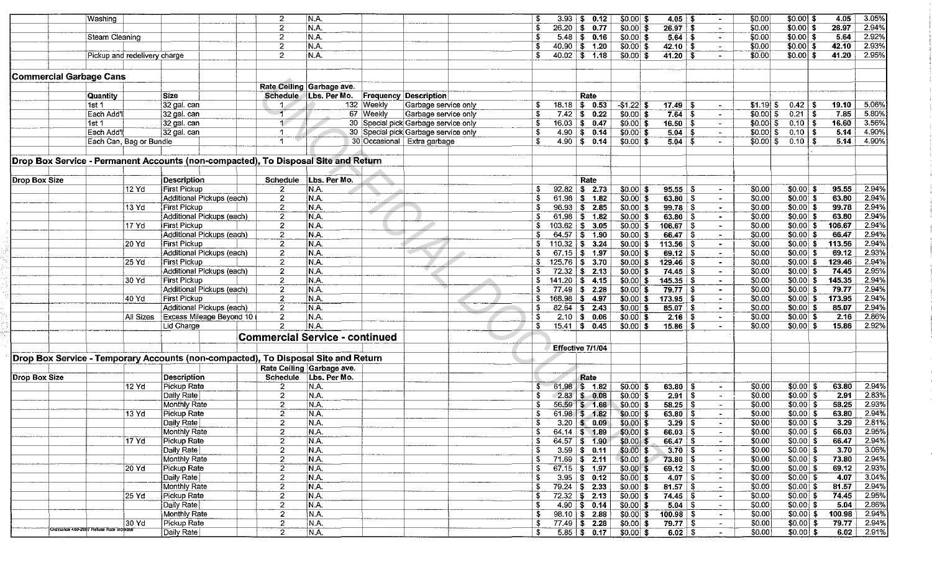|                      | Washing                                                                       |                              |                                                                                    | 2                                     | N.A.                      |            |                                      |                  |           | $3.93$ \$ 0.12         | $$0.00$ \$   | $4.05$ \$        | $\blacksquare$           | \$0.00      | $$0.00$ \$   | 4.05              | 3.05%        |
|----------------------|-------------------------------------------------------------------------------|------------------------------|------------------------------------------------------------------------------------|---------------------------------------|---------------------------|------------|--------------------------------------|------------------|-----------|------------------------|--------------|------------------|--------------------------|-------------|--------------|-------------------|--------------|
|                      |                                                                               |                              |                                                                                    | $\mathbf{2}$                          | N.A.                      |            |                                      |                  |           | $26.20$ \$ 0.77        | $$0.00$ \$   | $26.97$ \$       | $\overline{\phantom{a}}$ | \$0.00      | $$0.00$ \$   | 26.97             | 2.94%        |
|                      |                                                                               |                              |                                                                                    | $\overline{2}$                        | N.A.                      |            |                                      |                  |           | $5.48$ \$ 0.16         | \$0.00 S     |                  |                          | \$0.00      | $$0.00 $ \$  | 5.64              | 2.92%        |
|                      | Steam Cleaning                                                                |                              |                                                                                    |                                       |                           |            |                                      |                  |           |                        |              | $5.64$ \ \ \$    | $\blacksquare$           |             |              |                   |              |
|                      |                                                                               |                              |                                                                                    | $\mathbf{2}$                          | N.A.                      |            |                                      |                  |           | $40.90$ \$ 1.20        | $ 50.00 $ \$ | $42.10$ \ \$     | $\sim$                   | \$0.00      | $$0.00$ \$   | 42.10             | 2.93%        |
|                      |                                                                               | Pickup and redelivery charge |                                                                                    | $\overline{2}$                        | NA.                       |            |                                      |                  |           | $40.02$   \$ 1.18      | \$0.00 S     | $41.20$ \$       | $\blacksquare$           | \$0.00      | $$0.00 $ \$  | 41.20             | 2.95%        |
|                      |                                                                               |                              |                                                                                    |                                       |                           |            |                                      |                  |           |                        |              |                  |                          |             |              |                   |              |
|                      |                                                                               |                              |                                                                                    |                                       |                           |            |                                      |                  |           |                        |              |                  |                          |             |              |                   |              |
|                      | <b>Commercial Garbage Cans</b>                                                |                              |                                                                                    |                                       |                           |            |                                      |                  |           |                        |              |                  |                          |             |              |                   |              |
|                      |                                                                               |                              |                                                                                    |                                       | Rate Ceiling Garbage ave. |            |                                      |                  |           |                        |              |                  |                          |             |              |                   |              |
|                      |                                                                               |                              | Size                                                                               |                                       | Schedule Lbs. Per Mo.     |            | <b>Frequency Description</b>         |                  |           | Rate                   |              |                  |                          |             |              |                   |              |
|                      | Quantity                                                                      |                              |                                                                                    |                                       |                           |            |                                      |                  |           |                        |              |                  |                          |             |              |                   |              |
|                      | 1st <sub>1</sub>                                                              |                              | 32 gal. can                                                                        |                                       |                           | 132 Weekly | Garbage service only                 |                  |           | $18.18$ \$ 0.53        | $-$1.22$ \$  | $17.49$ \ \$     | $\blacksquare$           | $$1.19$ $$$ |              | 19.10             | 5.06%        |
|                      | Each Add'l                                                                    |                              | 32 gal. can                                                                        | $-1$                                  |                           | 67 Weekly  | Garbage service only                 | -S               |           | $7.42$ \$ 0.22         | $$0.00$ \$   | $7.64 \;   \; $$ | $\overline{\phantom{a}}$ | \$0.001\$   | $0.21$ \$    | 7.85              | 5.80%        |
|                      | 1st <sub>1</sub>                                                              |                              | 32 gal. can                                                                        | $\blacksquare$                        |                           |            | 30 Special pick Garbage service only | - 5              |           | $16.03$ \$ 0.47        | $$0.00 \; S$ | $16.50$ \$       | $\sim$                   | $$0.00]$ \$ | $0.10$   \$  | 16.60             | 3.56%        |
|                      |                                                                               |                              |                                                                                    | 1                                     |                           |            |                                      |                  |           |                        |              |                  |                          |             |              |                   |              |
|                      | Each Add <sup>'</sup>                                                         |                              | 32 gal. can                                                                        |                                       |                           |            | 30 Special pick Garbage service only |                  |           | $4.90 \,$ \$ 0.14      | $$0.00$ \$   | $5.04$ \ \$      | $\sim$                   | \$0.00 S    | $0.10$   \$  | 5.14              | 4.90%        |
|                      |                                                                               | Each Can, Bag or Bundle      |                                                                                    | $\mathbf{1}$                          |                           |            | 30 Occasional Extra garbage          |                  |           | $4.90 \,   \, 3.014$   | $$0.00 $ \$  | $5.04$ \ \$      | $\blacksquare$           | $$0.00 $ \$ | $0.10$   \$  | 5.14              | 4.90%        |
|                      |                                                                               |                              |                                                                                    |                                       |                           |            |                                      |                  |           |                        |              |                  |                          |             |              |                   |              |
|                      |                                                                               |                              | Drop Box Service - Permanent Accounts (non-compacted), To Disposal Site and Return |                                       |                           |            |                                      |                  |           |                        |              |                  |                          |             |              |                   |              |
|                      |                                                                               |                              |                                                                                    |                                       |                           |            |                                      |                  |           |                        |              |                  |                          |             |              |                   |              |
|                      |                                                                               |                              |                                                                                    |                                       |                           |            |                                      |                  |           |                        |              |                  |                          |             |              |                   |              |
| Drop Box Size        |                                                                               |                              | <b>Description</b>                                                                 | <b>Schedule</b>                       | Lbs. Per Mo.              |            |                                      |                  |           | Rate                   |              |                  |                          |             |              |                   |              |
|                      |                                                                               | 12 Yd                        | <b>First Pickup</b>                                                                | 2                                     | N.A.                      |            |                                      |                  |           | $92.82$ \$ 2.73        | $$0.00$ \$   | $95.55$ \$       | $\blacksquare$           | \$0.00      | $$0.00$ \$   | 95.55             | 2.94%        |
|                      |                                                                               |                              |                                                                                    |                                       |                           |            |                                      |                  |           |                        |              |                  |                          |             |              |                   |              |
|                      |                                                                               |                              | Additional Pickups (each)                                                          | 2                                     | N.A.                      |            |                                      |                  |           | $61.98$ \$ 1.82        | $50.00$ \$   | $63.80$ \$       | $\sim$                   | \$0.00      | $$0.00$ \$   | 63.80             | 2.94%        |
|                      |                                                                               | 13 Yd                        | <b>First Pickup</b>                                                                | $\mathbf{2}$                          | N.A.                      |            |                                      |                  |           | 96.93   \$2.85         | $50.00$ \$   | $99.78$ \$       | $\blacksquare$           | \$0.00      | $$0.00 $ \$  | 99.78             | 2.94%        |
|                      |                                                                               |                              | Additional Pickups (each)                                                          | $\mathbf{2}$                          | N.A.                      |            |                                      |                  |           | $61.98$ \$ 1.82        | \$0.00 \$    | $63.80$ \$       | $\sim$                   | \$0.00      | $$0.00$ \$   | 63.80             | 2.94%        |
|                      |                                                                               | 17 Yd                        | <b>First Pickup</b>                                                                | $\mathbf{2}$                          | N.A.                      |            |                                      | S                |           | $103.62$ \$ 3.05       | $$0.00 $ \$  | $106.67$ \ \$    | $\sim$                   | \$0.00      | $$0.00$ \$   | 106.67            | 2.94%        |
|                      |                                                                               |                              |                                                                                    |                                       |                           |            |                                      |                  |           |                        |              |                  |                          |             |              |                   |              |
|                      |                                                                               |                              | Additional Pickups (each)                                                          | $\mathbf{2}$                          | N.A.                      |            |                                      |                  |           | $64.57 \;   \; $$ 1.90 | $50.00$ \$   | $66.47$ \$       | $\bullet$                | \$0.00      | $$0.00 $ \$  | 66.47             | 2.94%        |
|                      |                                                                               | 20 Yd                        | <b>First Pickup</b>                                                                | $\overline{2}$                        | N.A.                      |            |                                      | S.               |           | $110.32$ \$ 3.24       | $$0.00$ \$   | $113.56$ \$      | $\sim$                   | \$0.00      | $$0.00$ \$   | 113.56            | 2.94%        |
|                      |                                                                               |                              | Additional Pickups (each)                                                          | $\mathbf{2}$                          | N.A.                      |            |                                      | S.               |           | $67.15$ \$ 1.97        | $$0.00$ \$   | $69.12$ \$       | $\sim$                   | \$0.00      | $50.00$ \$   | 69.12             | 2.93%        |
|                      |                                                                               | 25 Yd                        | <b>First Pickup</b>                                                                |                                       |                           | \$         |                                      | $125.76$ \$ 3.70 | \$0.00 \$ | $129.46$ \$            | $\sim$       | \$0.00           | $$0.00 $ \$              | 129.46      | 2.94%        |                   |              |
|                      | $\overline{2}$<br>N.A.<br>Additional Pickups (each)<br>$\overline{2}$<br>N.A. |                              |                                                                                    |                                       |                           |            |                                      |                  |           |                        |              |                  |                          |             |              |                   | 2.95%        |
|                      |                                                                               |                              |                                                                                    |                                       |                           |            |                                      |                  |           | $72.32$ \$ 2.13        | $$0.00]$ \$  | $74.45$ \ \$     | $\sim$                   | \$0.00      | $$0.00$ \$   | 74.45             |              |
|                      |                                                                               | 30 Yd                        | <b>First Pickup</b>                                                                | $\mathbf{2}$                          | N.A.                      |            |                                      | S.               |           | $141.20$ \$ 4.15       | $$0.00$ \$   | $145.35$ \$      | $\sim$                   | \$0.00      | $$0.00$ \$   | 145.35            | 2.94%        |
|                      |                                                                               |                              | Additional Pickups (each)                                                          | $\mathbf{2}$                          | IN.A.                     |            |                                      |                  |           | $77.49$ \$ 2.28        | $$0.00$ \$   | $79.77$ \$       |                          | \$0.00      | $$0.00$ \$   | 79.77             | 2.94%        |
|                      |                                                                               | 40 Yd                        | <b>First Pickup</b>                                                                | $\mathbf{2}$                          | N.A.                      |            |                                      |                  |           | 168.98 \$4.97          | $$0.00$ \$   | 173.95           | ∣\$<br>$\sim$            | \$0.00      | $$0.00$ \$   | 173.95            | 2.94%        |
|                      |                                                                               |                              |                                                                                    |                                       |                           |            |                                      |                  |           |                        |              |                  |                          |             |              |                   | 2.94%        |
|                      |                                                                               |                              | Additional Pickups (each)                                                          | $\mathbf{2}$                          | N.A.                      |            |                                      |                  |           | $82.64$ \$ 2.43        | $$0.00 $ \$  | 85.07            | i S<br>$\sim$            | \$0.00      | $$0.00 $ \$  | 85.07             |              |
|                      |                                                                               | All Sizes                    | Excess Mileage Beyond 10                                                           | $\mathbf{2}$                          | N.A.                      |            |                                      | S                |           | $2.10$ \$ 0.06         | $$0.00$ \$   | $2.16$ \$        | $\sim$                   | \$0.00      | $50.00$ \$   | $\overline{2.16}$ | 2.86%        |
|                      |                                                                               |                              | Lid Charge                                                                         | $\mathbf{2}$                          | IN.A.                     |            |                                      | - \$             |           | $15.41 \,$ \$ 0.45     | $$0.00 $ \$  | 15.86            | l S                      | \$0.00      | $$0.00 $ \$  | 15.86             | 2.92%        |
|                      |                                                                               |                              |                                                                                    |                                       |                           |            |                                      |                  |           |                        |              |                  |                          |             |              |                   |              |
|                      |                                                                               |                              |                                                                                    | <b>Commercial Service - continued</b> |                           |            |                                      |                  |           |                        |              |                  |                          |             |              |                   |              |
|                      |                                                                               |                              |                                                                                    |                                       |                           |            |                                      |                  |           | Effective 7/1/04       |              |                  |                          |             |              |                   |              |
|                      |                                                                               |                              | Drop Box Service - Temporary Accounts (non-compacted), To Disposal Site and Return |                                       |                           |            |                                      |                  |           |                        |              |                  |                          |             |              |                   |              |
|                      |                                                                               |                              |                                                                                    |                                       |                           |            |                                      |                  |           |                        |              |                  |                          |             |              |                   |              |
|                      |                                                                               |                              |                                                                                    |                                       | Rate Ceiling Garbage ave. |            |                                      |                  |           |                        |              |                  |                          |             |              |                   |              |
| <b>Drop Box Size</b> |                                                                               |                              | <b>Description</b>                                                                 | Schedule                              | Lbs. Per Mo.              |            |                                      |                  |           | Rate                   |              |                  |                          |             |              |                   |              |
|                      |                                                                               | 12 Yd                        | Pickup Rate                                                                        | $\overline{2}$                        | N.A.                      |            |                                      |                  | 61.98     | \$ 1.82                | $$0.00$ \$   | $63.80 $ \$      | $\sim$                   | \$0.00      | $$0.00 $ \$  | 63.80             | 2.94%        |
|                      |                                                                               |                              |                                                                                    |                                       |                           |            |                                      |                  |           |                        |              |                  |                          |             |              |                   | 2.83%        |
|                      |                                                                               |                              | Daily Rate                                                                         | $\mathbf{2}$                          | N.A.                      |            |                                      |                  |           | $2.83$ \$ 0.08         | \$0.00 \$    | $2.91$ \ \$      | $\sim$                   | \$0.00      | $$0.00$ \$   | 2.91              |              |
|                      |                                                                               |                              | Monthly Rate                                                                       | $\overline{2}$                        | N.A.                      |            |                                      |                  |           | 56.59 \$ 1.66          | $$0.00 $ \$  |                  | $\sim$                   | \$0.00      | $$0.00 $ \$  | 58.25             | 2.93%        |
|                      |                                                                               | 13 Yd                        | Pickup Rate                                                                        | $\overline{2}$                        | $\overline{\mathsf{NA}}$  |            |                                      |                  |           | $61.98$ \$ 1.82        | $$0.00 $ \$  | $63.80$ \ \$     | $\sim$                   | \$0.00      | $$0.00 $ \$  | 63.80             | 2.94%        |
|                      |                                                                               |                              | Daily Rate                                                                         | $\overline{2}$                        | N.A.                      |            |                                      |                  |           | $3.20$ \$ 0.09         | $$0.00$ \$   | $3.29$ \ \$      |                          | \$0.00      | $$0.00 $ \$  | 3.29              | 2.81%        |
|                      |                                                                               |                              | Monthly Rate                                                                       | 2                                     | N.A.                      |            |                                      |                  |           | $64.14$ \$ 1.89        |              |                  |                          | \$0.00      | $$0.00 $ \$  | 66.03             | 2.95%        |
|                      |                                                                               |                              |                                                                                    |                                       |                           |            |                                      |                  |           |                        | $$0.00 $ \$  | 66.03   \$       | $\sim$                   |             |              |                   |              |
|                      |                                                                               | 17 Yd                        | Pickup Rate                                                                        | $\overline{c}$                        | N.A.                      |            |                                      |                  |           | $64.57$ \$ 1.90        | $$0.00 $ \$  |                  | $\sim$                   | \$0.00      | \$0.00 \$    | 66.47             | 2.94%        |
|                      |                                                                               |                              | Daily Rate                                                                         | $\overline{2}$                        | N.A.                      |            |                                      | -S               |           | $3.59$ \$ 0.11         | $$0.00$ \$   | $3.70$ \$        | $\sim$                   | \$0.00      | $$0.00$ \$   | 3.70              | 3.06%        |
|                      |                                                                               |                              | Monthly Rate                                                                       | $\mathbf{2}$                          | IN.A.                     |            |                                      | - \$             |           | $71.69$ \$ 2.11        | $$0.00 $ \$  | $73.80$ \ \$     | $\blacksquare$           | \$0.00      | $$0.00 $ \$  | 73.80             | 2.94%        |
|                      |                                                                               | 20 Yd                        | Pickup Rate                                                                        | $\overline{2}$                        | N.A.                      |            |                                      | - \$             |           | $67.15$ \$ 1.97        | $$0.00$ \$   |                  | $\sim$                   | \$0.00      | \$0.00 \$    | 69.12             | 2.93%        |
|                      |                                                                               |                              |                                                                                    |                                       |                           |            |                                      |                  |           |                        |              |                  |                          |             |              |                   |              |
|                      |                                                                               |                              | Daily Rate                                                                         | $\overline{c}$                        | N.A.                      |            |                                      | - 5              |           | $3.95$ \$ 0.12         | \$0.00 \$    |                  | $\frac{1}{2}$            | \$0.00      | $$0.00$ \$   | 4.07              | 3.04%        |
|                      |                                                                               |                              | Monthly Rate                                                                       | $\mathbf{2}$                          | N.A.                      |            |                                      | - 35             |           | $79.24$ \$ 2.33        | $ $0.00 $ \$ |                  | $\sim$                   | \$0.00      | $$0.00 $ \$  | 81.57             | 2.94%        |
|                      |                                                                               | 25 Yd                        | Pickup Rate                                                                        | $\mathbf{2}$                          | N.A.                      |            |                                      |                  |           | $72.32$ \$ 2.13        | \$0.00 \$    | $74.45$ \ \$     | $\bullet$ .              | \$0.00      | $S0.00$ \$   | 74.45             | 2.95%        |
|                      |                                                                               |                              | Daily Rate                                                                         | 2                                     | N.A.                      |            |                                      |                  |           | $4.90$ \$ 0.14         | \$0.00 \$    |                  | $\sim$ .                 | \$0.00      | $$0.00$ \$   | 5.04              | 2.86%        |
|                      |                                                                               |                              |                                                                                    |                                       |                           |            |                                      |                  |           |                        |              |                  |                          |             |              |                   |              |
|                      |                                                                               |                              | Monthly Rate                                                                       | $\overline{2}$                        | \N.A.                     |            |                                      | - \$             |           | $98.10$   \$ 2.88      | $$0.00$ \$   | $100.98$ \ \$    | $\sim$                   | \$0.00      | $ 50.00 $ \$ | 100.98            | 2.94%        |
|                      |                                                                               | 30 Yd                        | Pickup Rate                                                                        | $\overline{c}$                        | N.A.                      |            |                                      | -S               |           | 77.49   \$2.28         | \$0.00 \$    | $79.77$ \ \$     | $\sim$                   | \$0.00      | $$0.00 $ \$  |                   | 79.77 2.94%  |
|                      | Ordinance 488-2007 Refuse Rate Increase                                       |                              | Daily Rate                                                                         | $\overline{2}$                        | N.A.                      |            |                                      |                  |           | $5.85$   \$ 0.17       | \$0.00 \$    | $6.02$ \$        | $\sim$                   | \$0.00      | $$0.00$ \$   |                   | $6.02$ 2.91% |
|                      |                                                                               |                              |                                                                                    |                                       |                           |            |                                      |                  |           |                        |              |                  |                          |             |              |                   |              |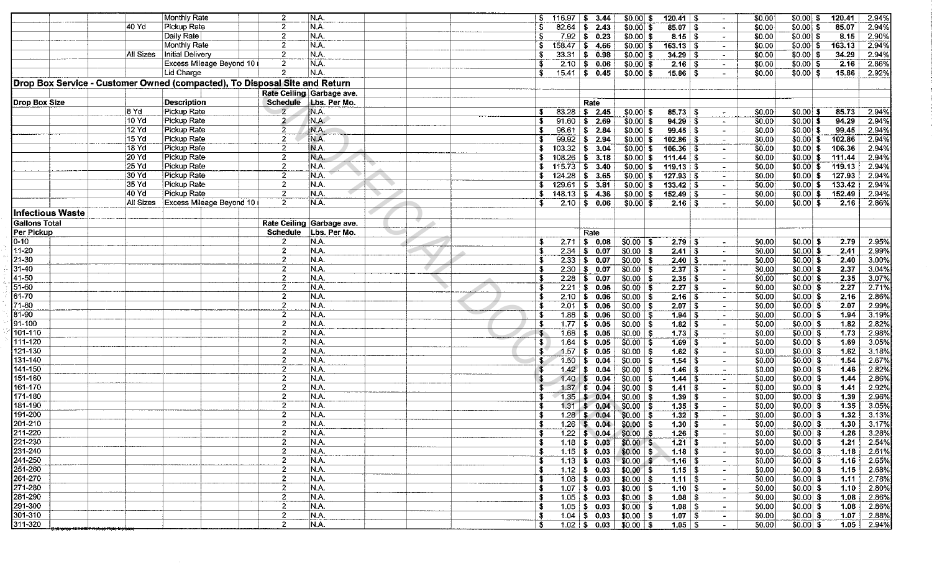|                                                                            |           |             | Monthly Rate             | $\overline{2}$   | N.A.                              |  | S.           | $116.97$ \$ 3.44 |                            | $$0.00 $ \$                    | $120.41$ \ \$                    | $\overline{\phantom{a}}$ | \$0.00 | $$0.00$ \$  | 120.41 | 2.94%        |
|----------------------------------------------------------------------------|-----------|-------------|--------------------------|------------------|-----------------------------------|--|--------------|------------------|----------------------------|--------------------------------|----------------------------------|--------------------------|--------|-------------|--------|--------------|
|                                                                            | 40 Yd     | Pickup Rate |                          | $\overline{2}$   | N.A.                              |  |              | 82.64            | 52.43                      | $$0.00$ \$                     | $85.07$ \$                       | $\sim$                   | \$0.00 | $$0.00$ \$  | 85.07  | 2.94%        |
|                                                                            |           | Daily Rate  |                          | $\mathbf{2}$     | N.A.                              |  |              |                  | $7.92$ \$ 0.23             | $$0.00 $ \$                    | $8.15$ \ \$                      | $\sim$                   | \$0.00 | $$0.00]$ \$ | 8.15   | 2.90%        |
|                                                                            |           |             | Monthly Rate             | $\overline{2}$   | N.A.                              |  | S.           |                  | $158.47$ \$ 4.66           | $$0.00$ \$                     | $163.13$ \$                      | $\blacksquare$           | \$0.00 | $$0.00 $ \$ | 163.13 | 2.94%        |
|                                                                            | All Sizes |             | Initial Delivery         | $\mathbf{2}$     | N.A.                              |  |              |                  | $33.31 \mid $3 \quad 0.98$ | $$0.00 $ \$                    | $34.29$ \ \$                     |                          | \$0.00 | $$0.00 $ \$ | 34.29  | 2.94%        |
|                                                                            |           |             | Excess Mileage Beyond 10 | $\overline{2}$   | N.A.                              |  |              |                  |                            |                                |                                  |                          |        |             | 2.16   | 2.86%        |
|                                                                            |           |             |                          |                  |                                   |  |              |                  | $2.10$ \$ 0.06             | $$0.00 $ \$                    | $2.16$ S                         | $\blacksquare$           | \$0.00 | $$0.00 $ \$ |        |              |
|                                                                            |           | Lid Charge  |                          | $\mathbf{2}$     | N.A.                              |  | S            |                  | $15.41$ \$ 0.45            | $$0.00$ \$                     | $15.86 \mid S$                   |                          | \$0.00 | $$0.00 $ \$ | 15.86  | 2.92%        |
| Drop Box Service - Customer Owned (compacted), To Disposal Site and Return |           |             |                          |                  |                                   |  |              |                  |                            |                                |                                  |                          |        |             |        |              |
|                                                                            |           |             |                          |                  | Rate Ceiling Garbage ave.         |  |              |                  |                            |                                |                                  |                          |        |             |        |              |
| Drop Box Size                                                              |           |             | <b>Description</b>       |                  | Schedule Lbs. Per Mo.             |  |              |                  | Rate                       |                                |                                  |                          |        |             |        |              |
|                                                                            | i8 Yd     | Pickup Rate |                          | $\overline{2}$   | N.A.                              |  | S.           |                  | $83.28$ \$ 2.45            | $$0.00$ \$                     |                                  | $\overline{\phantom{a}}$ | \$0.00 | $$0.00 $ \$ | 85.73  | 2.94%        |
|                                                                            | 10 Yd     | Pickup Rate |                          | $\mathbf{2}$     | N.A.                              |  |              |                  | $91.60$ \$ 2.69            |                                | $94.29$ \$                       |                          | \$0.00 | $$0.00 $ \$ | 94.29  | 2.94%        |
|                                                                            |           |             |                          |                  | N.A.                              |  |              |                  |                            | $$0.00 $ \$                    |                                  | $\tilde{\phantom{a}}$    |        |             |        |              |
|                                                                            | 12 Yd     | Pickup Rate |                          | 2                |                                   |  |              |                  | 96.61   \$ 2.84            | $$0.00 $ \$                    |                                  | $\overline{\phantom{a}}$ | \$0.00 | $$0.00$ \$  | 99.45  | 2.94%        |
|                                                                            | 15 Yd     | Pickup Rate |                          | $\mathbf{2}$     | N.A.                              |  |              |                  | $99.92 \mid $2.94$         | $$0.00$ \$                     | $102.86$ \$                      |                          | \$0.00 | $$0.00]$ \$ | 102.86 | 2.94%        |
|                                                                            | 18 Yd     | Pickup Rate |                          | $\overline{2}$   | N.A.                              |  |              |                  | $103.32$ \$ 3.04           | $$0.00 $ \$                    | $106.36$ \$                      | $\blacksquare$           | \$0.00 | $$0.00 $ \$ | 106.36 | 2.94%        |
|                                                                            | 20 Yd     | Pickup Rate |                          | $\overline{2}$   | N.A.                              |  |              | $108.26$ \$ 3.18 |                            | $$0.00 $ \$                    |                                  | $\overline{\phantom{a}}$ | \$0.00 | $$0.00 $ \$ | 111.44 | 2.94%        |
|                                                                            | 25 Yd     | Pickup Rate |                          | $\overline{2}$   | N.A.                              |  | S.           | $115.73$ \$ 3.40 |                            | $$0.00$ \$                     | $119.13$ \$                      | $\sim$                   | \$0.00 | $$0.00$ \$  | 119.13 | 2.94%        |
|                                                                            | 30 Yd     | Pickup Rate |                          | $\overline{2}$   | N.A.                              |  | S.           |                  | $124.28$ \$ 3.65           | $$0.00$ \ \$                   | $127.93$ \ \$                    | $\blacksquare$           | \$0.00 | $$0.00$ \$  | 127.93 | 2.94%        |
|                                                                            | 35 Yd     | Pickup Rate |                          | $\overline{2}$   | N.A.                              |  | S.           | $129.61$ \$ 3.81 |                            | $$0.00$ \$                     | $133.42$   \$                    | $\sim$                   | \$0.00 | $$0.00 $ \$ | 133.42 | 2.94%        |
|                                                                            | 140 Yd    |             | Pickup Rate              | $\overline{2}$   | N.A.                              |  | S.           | $148.13$ \$ 4.36 |                            | $$0.00 $ \$                    |                                  | $\sim$                   | \$0.00 | $$0.00$ \$  | 152.49 | 2.94%        |
|                                                                            | All Sizes |             | Excess Mileage Beyond 10 | $\overline{2}$   | NA.                               |  | ٩.           |                  | $2.10$ \$ 0.06             | $$0.00 $ \$                    | $2.16$   \$                      | $\sim$                   | \$0.00 | $$0.00$ \$  | 2.16   | 2.86%        |
|                                                                            |           |             |                          |                  |                                   |  |              |                  |                            |                                |                                  |                          |        |             |        |              |
| Infectious Waste                                                           |           |             |                          |                  |                                   |  |              |                  |                            |                                |                                  |                          |        |             |        |              |
| <b>Gallons Total</b>                                                       |           |             |                          |                  | Rate Ceiling Garbage ave.         |  |              |                  |                            |                                |                                  |                          |        |             |        |              |
| Per Pickup                                                                 |           |             |                          | <b>Schedule</b>  | Lbs. Per Mo.                      |  |              |                  | Rate                       |                                |                                  |                          |        |             |        |              |
| $0 - 10$                                                                   |           |             |                          | $\mathbf{2}$     | N.A.                              |  | -5.          |                  | $2.71$ \$ 0.08             | $$0.00$ \$                     | $2.79$   \$                      | $\bullet$                | \$0.00 | $$0.00 $ \$ | 2.79   | 2.95%        |
| $11 - 20$                                                                  |           |             |                          | $\overline{2}$   | N.A.                              |  | -\$          |                  | $2.34$ \$ 0.07             | $$0.00$   \$                   | $2.41 \mid S$                    | $\sim$                   | \$0.00 | $$0.00$ \$  | 2.41   | 2.99%        |
| $21 - 30$                                                                  |           |             |                          | $\overline{2}$   | N.A.                              |  |              |                  | $2.33$ \$ 0.07             | $$0.00$ \$                     | 2.40   S                         | $\overline{\phantom{a}}$ | \$0.00 | $$0.00$ \$  | 2.40   | 3.00%        |
| $31 - 40$                                                                  |           |             |                          | $\boldsymbol{2}$ | N.A.                              |  |              |                  | $2.30$ \$ 0.07             | \$0.00 \$                      | 2.37   S                         |                          | \$0.00 | $$0.00 $ \$ | 2.37   | 3.04%        |
| 41-50                                                                      |           |             |                          | $\mathbf{2}$     | N.A.                              |  | -5           |                  | $2.28$ \$ 0.07             |                                |                                  | $\sim$                   |        |             | 2.35   | 3.07%        |
|                                                                            |           |             |                          |                  |                                   |  |              |                  |                            | $$0.00$ \\$                    | 2.35   S                         | $\sim$                   | \$0.00 | $$0.00$ \$  |        |              |
| $51 - 60$                                                                  |           |             |                          | $\overline{2}$   | N.A                               |  |              |                  | $2.21$ \$ 0.06             | \$0.00 \$                      |                                  | $\overline{\phantom{a}}$ | \$0.00 | $$0.00$ \$  | 2.27   | 2.71%        |
| 61-70                                                                      |           |             |                          | $\mathbf{2}$     | N.A.                              |  | - \$         |                  | $2.10$ \$ 0.06             | $$0.00$ \$                     | $2.16$   \$                      | $\blacksquare$           | \$0.00 | $$0.00 $ \$ | 2.16   | 2.86%        |
| 71-80                                                                      |           |             |                          | $\mathbf{2}$     | N.A.                              |  | -\$          |                  | $2.01$ \$ 0.06             | $$0.00$ \ \$                   |                                  | $\overline{\phantom{a}}$ | \$0.00 | $$0.00]$ \$ | 2.07   | 2.99%        |
| 81-90                                                                      |           |             |                          | $\overline{c}$   | N.A.                              |  | \$           |                  | $1.88$ \$ 0.06             | $$0.00$   \$                   |                                  | $\sim$                   | \$0.00 | $$0.00 $ \$ | 1.94   | 3.19%        |
| 91-100                                                                     |           |             |                          | $\overline{2}$   | N.A.                              |  | S            |                  | $1.77$ \$ 0.05             | $$0.00$ \$                     | $1.82$ \ \$                      | $\sim$                   | \$0.00 | $$0.00$ \$  | 1.82   | 2.82%        |
| 101-110                                                                    |           |             |                          | $\overline{2}$   | $\overline{\mathsf{N}\mathsf{A}}$ |  | \$.          |                  | $1.68$ \$ 0.05             | $$0.00$   \$                   |                                  | $\sim$                   | \$0.00 | $50.00$ \$  | 1.73   | 2.98%        |
| 111-120                                                                    |           |             |                          | $\overline{2}$   | N.A.                              |  | \$           | 1.64             | \$0.05                     | $$0.00$ \ \$                   | $1.69$ \$                        | $\sim$                   | \$0.00 | $$0.00 $ \$ | 1.69   | 3.05%        |
| 121-130                                                                    |           |             |                          | $\overline{2}$   | N.A.                              |  | $\mathbf{3}$ | 1.57             | $\frac{1}{2}$ 6.05         | $$0.00$ \$                     | $1.62$ \ \$                      | $\sim$                   | \$0.00 | $$0.00$ \$  | 1.62   | 3.18%        |
| 131-140                                                                    |           |             |                          | $\mathbf{2}$     | N.A.                              |  | S            | 1.50             |                            |                                |                                  |                          |        | $$0.00$ \$  | 1.54   | 2.67%        |
| 141-150                                                                    |           |             |                          |                  |                                   |  |              |                  | $\frac{1}{2}$ 6.04         | $$0.00$ \$                     | $1.54$ \ \$                      | $\sim$                   | \$0.00 |             |        |              |
|                                                                            |           |             |                          | $\overline{2}$   | N.A.                              |  |              |                  | $1,42$ \$ 0.04             | $$0.00$ \$                     |                                  | $\overline{\phantom{a}}$ | \$0.00 | $$0.00$ \$  | 1.46   | 2.82%        |
| 151-160                                                                    |           |             |                          | $\overline{2}$   | N.A.                              |  |              |                  | $1.40 \tImes 0.04$         | $$0.00$   \$                   | $1.44$ \ \$                      | $\blacksquare$           | \$0.00 | $$0.00 $ \$ | 1.44   | 2.86%        |
| 161-170                                                                    |           |             |                          | $\mathbf{2}$     | N.A.                              |  |              |                  | $1.37$ \$ 0.04             | $$0.00$ \ \$                   | $1.41$ \ \$                      | $\blacksquare$           | \$0.00 | $$0.00 $ \$ | 1.41   | 2.92%        |
| $171 - 180$                                                                |           |             |                          | $\overline{2}$   | N.A.                              |  |              |                  | $1.35$ \$ 0.04             | $$0.00$ \ \$                   | $1.39$ \ \$                      | $\overline{\phantom{a}}$ | \$0.00 | $$0.00 $ \$ | 1.39   | 2.96%        |
| 181-190                                                                    |           |             |                          | $\overline{2}$   | N.A.                              |  |              |                  | $1.31 \quad $0.04$         | $$0.00 $ \$                    | $1.35$ \$                        | $\sim$                   | \$0.00 | $$0.00$ \$  | 1.35   | 3.05%        |
| 191-200                                                                    |           |             |                          | $\mathbf{2}$     | N.A                               |  |              |                  | $1.28$ \$ 0.04             | $$0.00$   \$                   | $1.32$ $\overline{\phantom{1}3}$ | $\overline{\phantom{a}}$ | \$0.00 | $$0.00$ \$  | 1.32   | 3.13%        |
| 201-210                                                                    |           |             |                          | $\overline{2}$   | N.A.                              |  | S.           |                  | $1.26$ \$ 0.04             | $$0.00$   \$                   | $1.30 \, \, 5$                   |                          | \$0.00 | $$0.00 $ \$ | 1.30   | 3.17%        |
| 211-220                                                                    |           |             |                          | $\overline{2}$   | N.A.                              |  | - \$         |                  | $1.22$ \$ 0.04             | $$0.00$ \$                     | $1.26 \pm 1.5$                   | $\sim$                   | \$0.00 | $$0.00 $ \$ | 1.26   | 3.28%        |
| 221-230                                                                    |           |             |                          | $\boldsymbol{2}$ | N.A.                              |  | - \$         |                  | $1.18$ \$ 0.03             |                                |                                  | $\sim$                   | \$0.00 | $$0.00 $ \$ | 1.21   | 2.54%        |
|                                                                            |           |             |                          |                  |                                   |  |              |                  |                            | $$0.00$ \$                     |                                  |                          |        |             |        |              |
| 231-240                                                                    |           |             |                          | $\mathbf{2}$     | N.A.                              |  |              |                  | $1.15$ \$ 0.03             | $$0.00$ \ \$                   |                                  | $\sim$                   | \$0.00 | $$0.00$ \$  | 1.18   | 2.61%        |
| 241-250                                                                    |           |             |                          | $\overline{c}$   | N.A.                              |  |              |                  | $1.13$ \$ 0.03             | $$0.00$ \$                     | $1.16$   \$                      | $\sim$                   | \$0.00 | $$0.00$ \$  | 1.16   | 2.65%        |
| 251-260                                                                    |           |             |                          | $\mathbf{2}$     | N.A.                              |  | -S           |                  | $1.12$ \$ 0.03             | $$0.00$ \$                     | $1.15 \n\mid 5$                  | $\sim$                   | \$0.00 | $$0.00$ \$  | 1.15   | 2.68%        |
| 261-270                                                                    |           |             |                          | 2                | N.A.                              |  |              |                  | $1.08$ \$ 0.03             | $$0.00$ \ \$                   | $1.11$   \$                      | $\sim$                   | \$0.00 | $$0.00 $ \$ | 1.11   | 2.78%        |
| 271-280                                                                    |           |             |                          | $\overline{c}$   | N.A.                              |  |              |                  | $1.07$   \$ 0.03           | $$0.00$ \$                     | $1.10$ \ \$                      | $\sim$                   | \$0.00 | $$0.00 $ \$ | 1.10   | 2.80%        |
| 281-290                                                                    |           |             |                          | $\overline{c}$   | N.A.                              |  |              |                  | $1.05$   \$ 0.03           | $$0.00$   \$                   | $1.08  $ \$                      | $\sim$                   | \$0.00 | $$0.00 $ \$ | 1.08   | 2.86%        |
| 291-300                                                                    |           |             |                          | $\overline{c}$   | N.A.                              |  | £.           |                  | $1.05$ \$ 0.03             | $$0.00$ \$                     | $1.08$ \ \$                      | $\sim$                   | \$0.00 | $$0.00$ \$  | 1.08   | 2.86%        |
| 301-310                                                                    |           |             |                          | $\overline{2}$   | N.A.                              |  | S            |                  | $1.04$ \$ 0.03             | $$0.00$   \$                   | $1.07 \, \, 3$                   | $\sim$                   | \$0.00 | $$0.00$ \$  | 1.07   | 2.88%        |
|                                                                            |           |             |                          | $\overline{2}$   | N.A.                              |  |              |                  |                            |                                |                                  |                          |        |             |        |              |
| 311-320                                                                    |           |             |                          |                  |                                   |  | S.           |                  |                            | $1.02$   \$ 0.03   \$0.00   \$ | $1.05  $ \$                      | $\sim$                   | \$0.00 | $$0.00 $ \$ |        | $1.05$ 2.94% |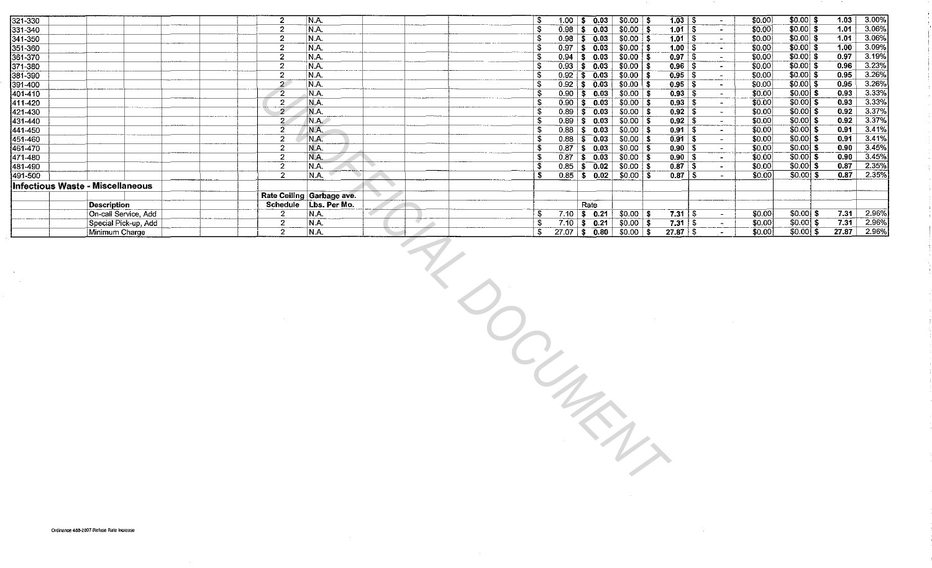| 321-330  |                                         | N.A.<br>2                     |  | 1.00              | \$0.03             | \$0.00<br>- 1    |                |                          | \$0.00 | $$0.00 $ \$  | 1.03  | 3.00% |
|----------|-----------------------------------------|-------------------------------|--|-------------------|--------------------|------------------|----------------|--------------------------|--------|--------------|-------|-------|
| 331-340  |                                         | N.A.                          |  | 0.98              | 0.03<br>S          | $$0.00$ \ \$     | 1.01<br>-5     |                          | \$0.00 | $$0.00 $ \$  | 1.01  | 3.06% |
| 341-350  |                                         | N.A.<br>------                |  | 0.98              | 0.03<br>s          | $$0.00 \, \,$ \$ | 1.01           |                          | \$0.00 | $$0.00 $ \$  | 1.01  | 3.06% |
| 351-360  |                                         | N.A.                          |  | 0.97              | \$0.03             | $$0.00$   \$     | 1.00<br>- 55   |                          | \$0.00 | $$0.00 $ \$  | 1.00  | 3.09% |
| 361-370  |                                         | 2<br>N.A.                     |  | 0.94              | \$0.03             | $$0.00$ \ \$     | 0.97           |                          | \$0.00 | $$0.00 $ \$  | 0.97  | 3.19% |
| 371-380  |                                         | N.A.                          |  | 0.93 <sub>1</sub> | \$0.03             | $$0.00$   \$     | 0.96<br>-T     |                          | \$0.00 | $$0.00$ \$   | 0.96  | 3.23% |
| 381-390  |                                         | N.A.                          |  | $0.92 -$          | \$0.03             | $$0.00 \, \, $$  | 0.95           |                          | \$0.00 | $$0.00 $ \$  | 0.95  | 3.26% |
| 391-400  |                                         | N.A.<br>ົ                     |  | 0.92 <sub>1</sub> | $\frac{1}{2}$ 0.03 | $$0.00 \, \,$ \$ | 0.95<br>- 5    |                          | \$0.00 | $$0.00$ \$   | 0.95  | 3.26% |
| 1401-410 |                                         | $\overline{c}$<br>N.A.        |  | 0.90              | 0.03<br>s.         | $$0.00$   \$     | $0.93$ \$      |                          | \$0.00 | $$0.00 $ \$  | 0.93  | 3.33% |
| 411-420  |                                         | N.A.<br>2                     |  | 0.90              | 0.03<br>-S.        | $$0.00 $ \$      |                |                          | \$0.00 | $$0.00$ \$   | 0.93  | 3.33% |
| 421-430  |                                         | يست<br>N.A.<br>$\overline{c}$ |  | 0.89              | \$0.03             | $$0.00$   \$     | $0.92 \mid$ \$ | $\sim$ 10 $\,$           | \$0.00 | $$0.00]$ \$  | 0.92  | 3.37% |
| 431-440  |                                         | N.A.<br>2                     |  | 0.89              | \$0.03             | $$0.00 \, \, $$  | $0.92$ \$      | $\overline{\phantom{a}}$ | \$0.00 | $$0.00$ \$   | 0.92  | 3.37% |
| 441-450  |                                         | N.A.<br>2                     |  | 0.88              | \$0.03             | $$0.00$   \$     | 0.91<br>-9     |                          | \$0.00 | $$0.00$ \$   | 0.91  | 3.41% |
| 451-460  |                                         | N.A.<br>2                     |  | 0.88              | \$0.03             | \$0.00           | $0.91$ \$      | $\sim$                   | \$0.00 | $$0.00$ \$   | 0.91  | 3.41% |
| 461-470  |                                         | N.A.                          |  | 0.87              | \$0.03             | $$0.00$ \\$      | $0.90$   \$    | $\sim$                   | \$0.00 | $$0.00$ \$   | 0.90  | 3.45% |
| 471-480  |                                         | N.A.<br>2                     |  | 0.87              | \$0.03             | $$0.00 \, \,$$   | $0.90$   \$    | $\sim$                   | \$0.00 | $$0.00 $ \$  | 0.90  | 3.45% |
| 481-490  |                                         | N.A.<br>-2                    |  | 0.85              | 0.02<br>\$         | $$0.00 \, \,$ \$ | $0.87  $ \$    | $\sim$                   | \$0.00 | $$0.00$ \ \$ | 0.87  | 2.35% |
| 491-500  |                                         | 2<br>N.A.                     |  | 0.85              | 0.02<br>S.         | $$0.00$   \$     | 0.87<br>-S     |                          | \$0.00 | $$0.00]$ \$  | 0.87  | 2.35% |
|          | <b>Infectious Waste - Miscellaneous</b> |                               |  |                   |                    |                  |                |                          |        |              |       |       |
|          |                                         | Rate Ceiling Garbage ave.     |  |                   |                    |                  |                |                          |        |              |       |       |
|          |                                         |                               |  |                   |                    |                  |                |                          |        |              |       |       |
|          | Description                             | Schedule   Lbs. Per Mo.       |  |                   | Rate               |                  |                |                          |        |              |       |       |
|          | On-call Service, Add                    | N.A.<br>2                     |  | 7.10              | \$0.21             | \$0.00<br>- 56   | 7.31           | - \$                     | \$0.00 | $$0.001$ \$  | 7.31  | 2.96% |
|          | Special Pick-up, Add                    | $\bullet$<br>N.A.<br>ے        |  | 7.10              | \$0.21             | $$0.00 \, \, 5$  | 7.31<br>మ      |                          | \$0.00 | $$0.00$ \$   | 7.31  | 2.96% |
|          | Minimum Charge                          | IN.A.<br>ົ                    |  | 27.07             | 0.80<br>l \$       | \$0.00<br>- 56   | $27.87$ \ \$   |                          | \$0.00 | $$0.00$ \ \$ | 27.87 | 2.96% |
|          |                                         |                               |  |                   |                    |                  |                |                          |        |              |       |       |

 $\overline{\mathscr{C}}_{\lambda}$ 

**LOCURENT** 

 $\sim 1000$